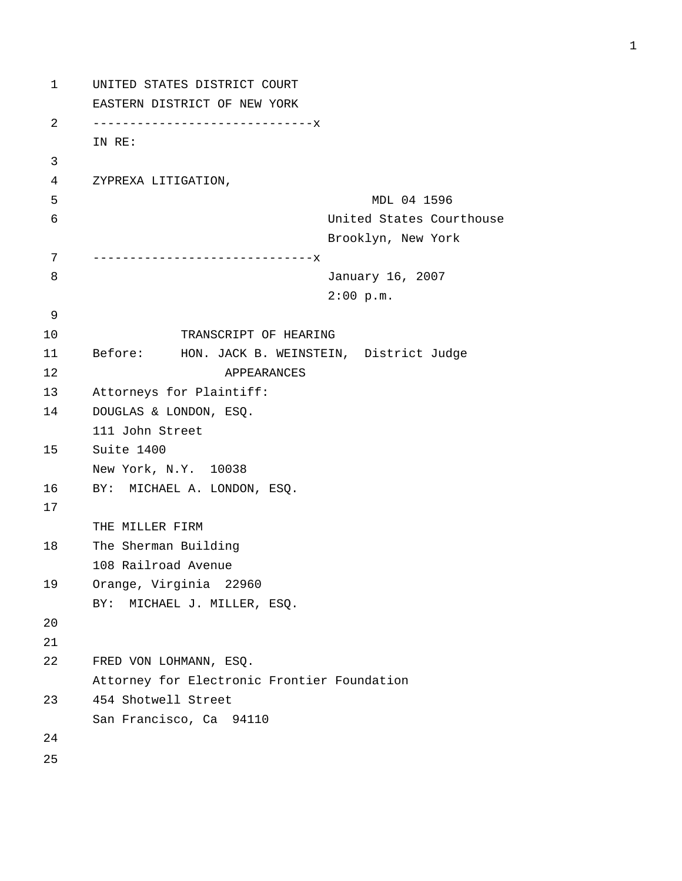```
1 UNITED STATES DISTRICT COURT 
      EASTERN DISTRICT OF NEW YORK 
2 ------------------------------x 
      IN RE: 
3 
4 ZYPREXA LITIGATION, 
5 MDL 04 1596 
6 United States Courthouse 
                                 Brooklyn, New York 
7 ------------------------------x 
8 January 16, 2007 
                                 2:00 p.m. 
9 
10 TRANSCRIPT OF HEARING 
11 Before: HON. JACK B. WEINSTEIN, District Judge 
12 APPEARANCES 
13 Attorneys for Plaintiff: 
14 DOUGLAS & LONDON, ESQ. 
      111 John Street 
15 Suite 1400 
      New York, N.Y. 10038 
16 BY: MICHAEL A. LONDON, ESQ. 
17 
      THE MILLER FIRM 
18 The Sherman Building 
      108 Railroad Avenue 
19 Orange, Virginia 22960 
      BY: MICHAEL J. MILLER, ESQ. 
20 
21 
22 FRED VON LOHMANN, ESQ. 
      Attorney for Electronic Frontier Foundation 
23 454 Shotwell Street 
      San Francisco, Ca 94110 
24 
25
```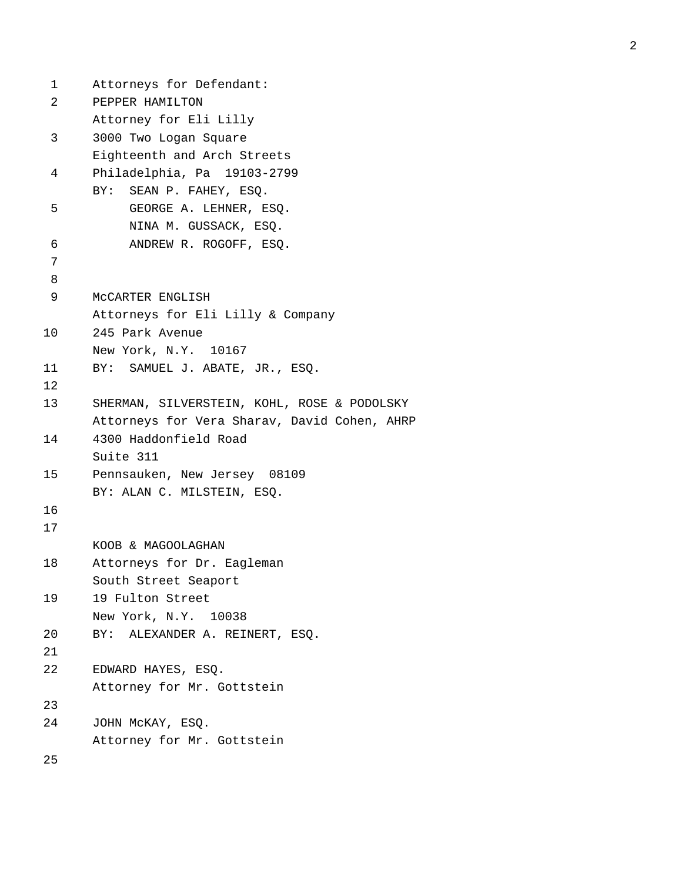```
1 Attorneys for Defendant: 
 2 PEPPER HAMILTON 
       Attorney for Eli Lilly 
 3 3000 Two Logan Square 
       Eighteenth and Arch Streets 
 4 Philadelphia, Pa 19103-2799 
       BY: SEAN P. FAHEY, ESQ. 
 5 GEORGE A. LEHNER, ESQ. 
            NINA M. GUSSACK, ESQ. 
 6 ANDREW R. ROGOFF, ESQ. 
7 
8 
 9 McCARTER ENGLISH 
       Attorneys for Eli Lilly & Company 
10 245 Park Avenue 
       New York, N.Y. 10167 
11 BY: SAMUEL J. ABATE, JR., ESQ. 
12 
13 SHERMAN, SILVERSTEIN, KOHL, ROSE & PODOLSKY 
       Attorneys for Vera Sharav, David Cohen, AHRP 
14 4300 Haddonfield Road 
       Suite 311 
15 Pennsauken, New Jersey 08109 
       BY: ALAN C. MILSTEIN, ESQ. 
16 
17 
       KOOB & MAGOOLAGHAN 
18 Attorneys for Dr. Eagleman 
       South Street Seaport 
19 19 Fulton Street 
       New York, N.Y. 10038 
20 BY: ALEXANDER A. REINERT, ESQ. 
21 
22 EDWARD HAYES, ESQ. 
       Attorney for Mr. Gottstein 
23 
24 JOHN McKAY, ESQ. 
       Attorney for Mr. Gottstein 
25
```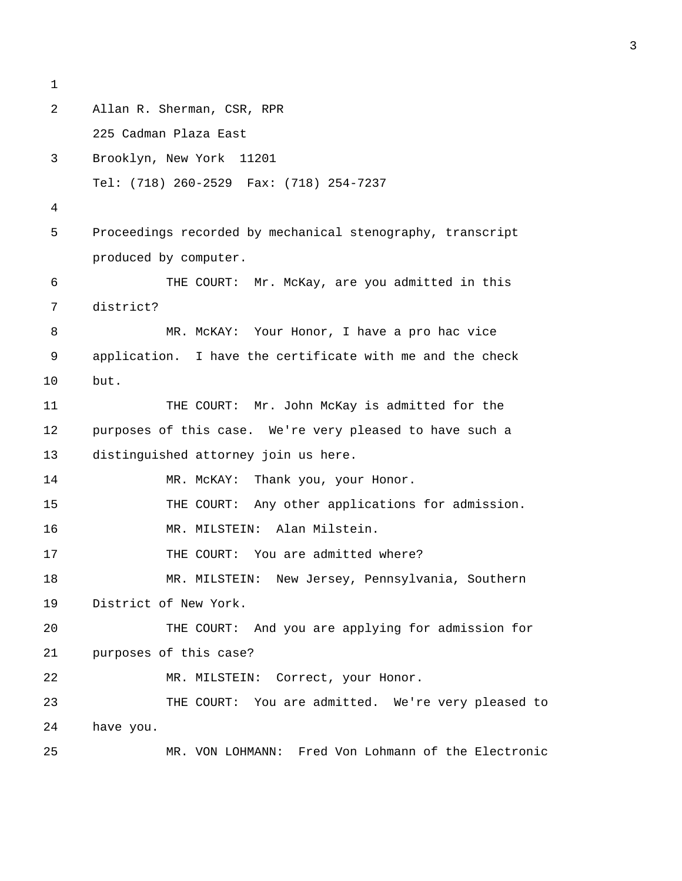```
1 
2 Allan R. Sherman, CSR, RPR 
      225 Cadman Plaza East 
3 Brooklyn, New York 11201 
      Tel: (718) 260-2529 Fax: (718) 254-7237 
4 
5 Proceedings recorded by mechanical stenography, transcript 
      produced by computer. 
6 THE COURT: Mr. McKay, are you admitted in this 
7 district? 
8 MR. McKAY: Your Honor, I have a pro hac vice 
9 application. I have the certificate with me and the check 
10 but. 
11 THE COURT: Mr. John McKay is admitted for the 
12 purposes of this case. We're very pleased to have such a 
13 distinguished attorney join us here. 
14 MR. McKAY: Thank you, your Honor.
15 THE COURT: Any other applications for admission. 
16 MR. MILSTEIN: Alan Milstein. 
17 THE COURT: You are admitted where?
18 MR. MILSTEIN: New Jersey, Pennsylvania, Southern 
19 District of New York. 
20 THE COURT: And you are applying for admission for 
21 purposes of this case? 
22 MR. MILSTEIN: Correct, your Honor.
23 THE COURT: You are admitted. We're very pleased to 
24 have you. 
25 MR. VON LOHMANN: Fred Von Lohmann of the Electronic
```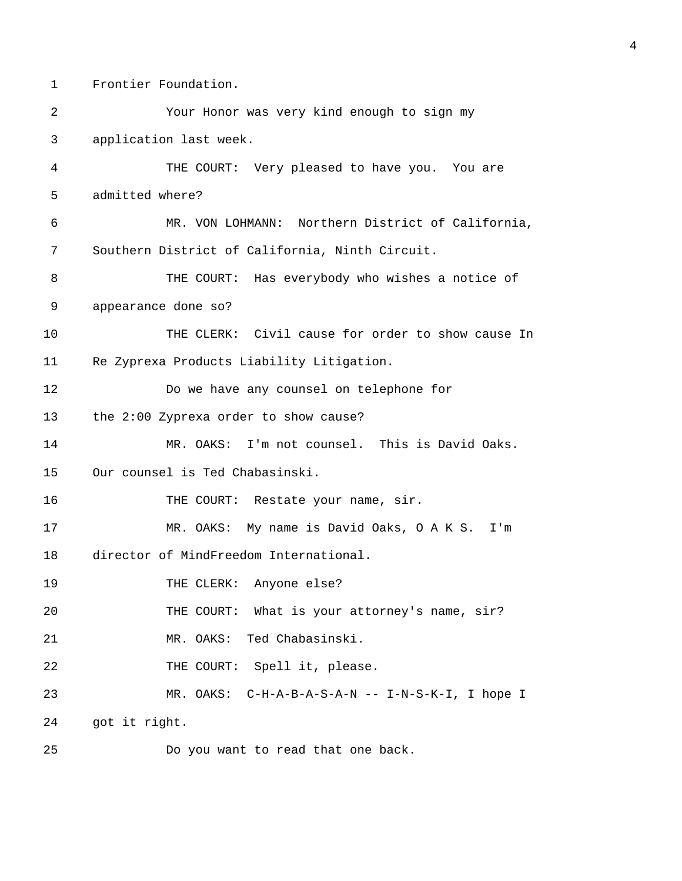1 Frontier Foundation.

2 Your Honor was very kind enough to sign my 3 application last week. 4 THE COURT: Very pleased to have you. You are 5 admitted where? 6 MR. VON LOHMANN: Northern District of California, 7 Southern District of California, Ninth Circuit. 8 THE COURT: Has everybody who wishes a notice of 9 appearance done so? 10 THE CLERK: Civil cause for order to show cause In 11 Re Zyprexa Products Liability Litigation. 12 Do we have any counsel on telephone for 13 the 2:00 Zyprexa order to show cause? 14 MR. OAKS: I'm not counsel. This is David Oaks. 15 Our counsel is Ted Chabasinski. 16 THE COURT: Restate your name, sir. 17 MR. OAKS: My name is David Oaks, O A K S. I'm 18 director of MindFreedom International. 19 THE CLERK: Anyone else? 20 THE COURT: What is your attorney's name, sir? 21 MR. OAKS: Ted Chabasinski. 22 THE COURT: Spell it, please. 23 MR. OAKS: C-H-A-B-A-S-A-N -- I-N-S-K-I, I hope I 24 got it right. 25 Do you want to read that one back.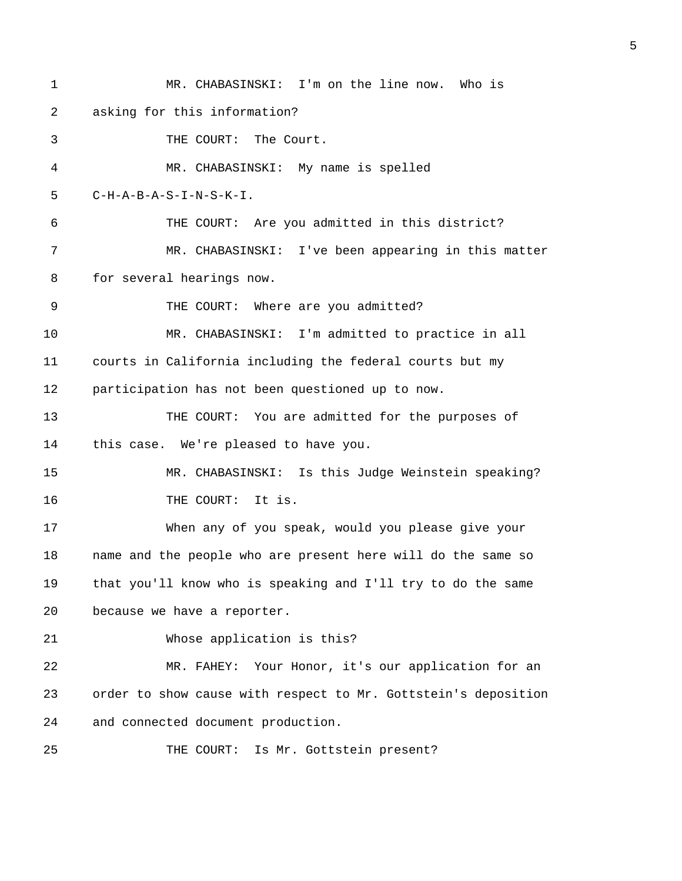1 MR. CHABASINSKI: I'm on the line now. Who is 2 asking for this information? 3 THE COURT: The Court. 4 MR. CHABASINSKI: My name is spelled 5 C-H-A-B-A-S-I-N-S-K-I. 6 THE COURT: Are you admitted in this district? 7 MR. CHABASINSKI: I've been appearing in this matter 8 for several hearings now. 9 THE COURT: Where are you admitted? 10 MR. CHABASINSKI: I'm admitted to practice in all 11 courts in California including the federal courts but my 12 participation has not been questioned up to now. 13 THE COURT: You are admitted for the purposes of 14 this case. We're pleased to have you. 15 MR. CHABASINSKI: Is this Judge Weinstein speaking? 16 THE COURT: It is. 17 When any of you speak, would you please give your 18 name and the people who are present here will do the same so 19 that you'll know who is speaking and I'll try to do the same 20 because we have a reporter. 21 Whose application is this? 22 MR. FAHEY: Your Honor, it's our application for an 23 order to show cause with respect to Mr. Gottstein's deposition 24 and connected document production. 25 THE COURT: Is Mr. Gottstein present?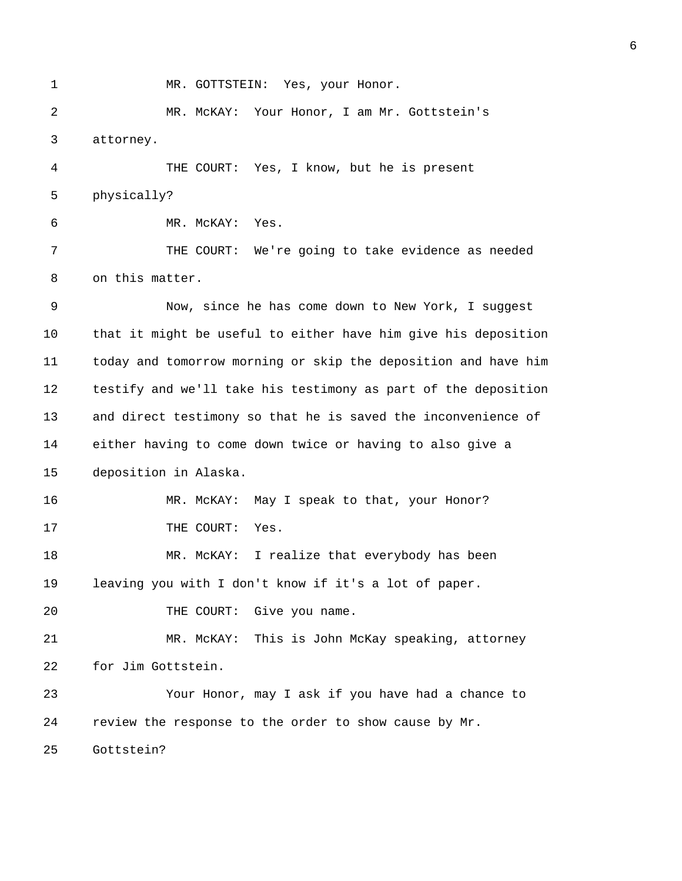1 MR. GOTTSTEIN: Yes, your Honor.

2 MR. McKAY: Your Honor, I am Mr. Gottstein's 3 attorney.

4 THE COURT: Yes, I know, but he is present 5 physically?

6 MR. McKAY: Yes.

7 THE COURT: We're going to take evidence as needed 8 on this matter.

9 Now, since he has come down to New York, I suggest 10 that it might be useful to either have him give his deposition 11 today and tomorrow morning or skip the deposition and have him 12 testify and we'll take his testimony as part of the deposition 13 and direct testimony so that he is saved the inconvenience of 14 either having to come down twice or having to also give a 15 deposition in Alaska.

16 MR. McKAY: May I speak to that, your Honor? 17 THE COURT: Yes.

18 MR. McKAY: I realize that everybody has been 19 leaving you with I don't know if it's a lot of paper.

20 THE COURT: Give you name.

21 MR. McKAY: This is John McKay speaking, attorney 22 for Jim Gottstein.

23 Your Honor, may I ask if you have had a chance to 24 review the response to the order to show cause by Mr.

25 Gottstein?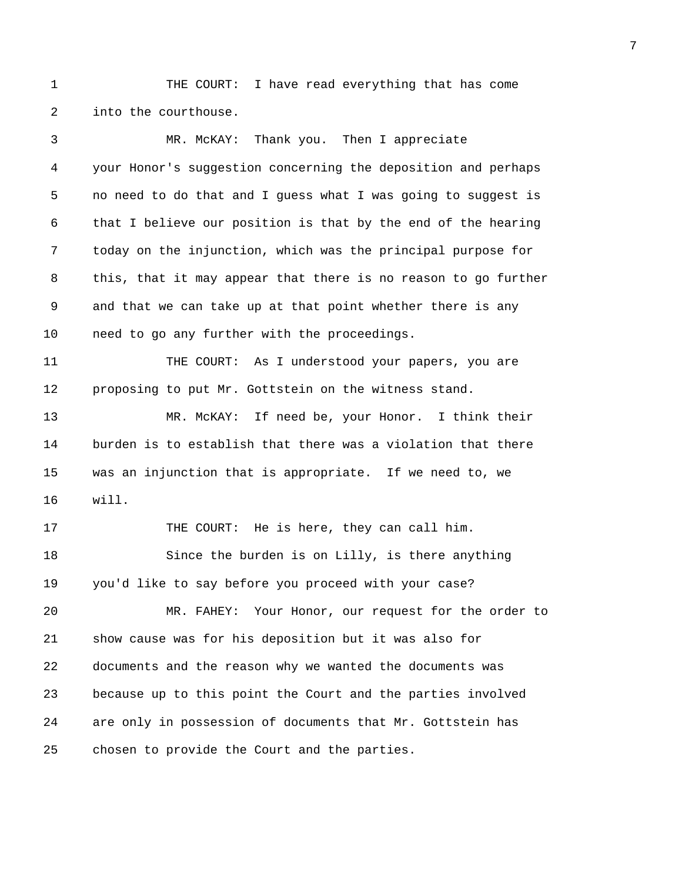1 THE COURT: I have read everything that has come 2 into the courthouse.

3 MR. McKAY: Thank you. Then I appreciate 4 your Honor's suggestion concerning the deposition and perhaps 5 no need to do that and I guess what I was going to suggest is 6 that I believe our position is that by the end of the hearing 7 today on the injunction, which was the principal purpose for 8 this, that it may appear that there is no reason to go further 9 and that we can take up at that point whether there is any 10 need to go any further with the proceedings. 11 THE COURT: As I understood your papers, you are 12 proposing to put Mr. Gottstein on the witness stand. 13 MR. McKAY: If need be, your Honor. I think their 14 burden is to establish that there was a violation that there 15 was an injunction that is appropriate. If we need to, we 16 will. 17 THE COURT: He is here, they can call him. 18 Since the burden is on Lilly, is there anything 19 you'd like to say before you proceed with your case? 20 MR. FAHEY: Your Honor, our request for the order to 21 show cause was for his deposition but it was also for 22 documents and the reason why we wanted the documents was 23 because up to this point the Court and the parties involved 24 are only in possession of documents that Mr. Gottstein has 25 chosen to provide the Court and the parties.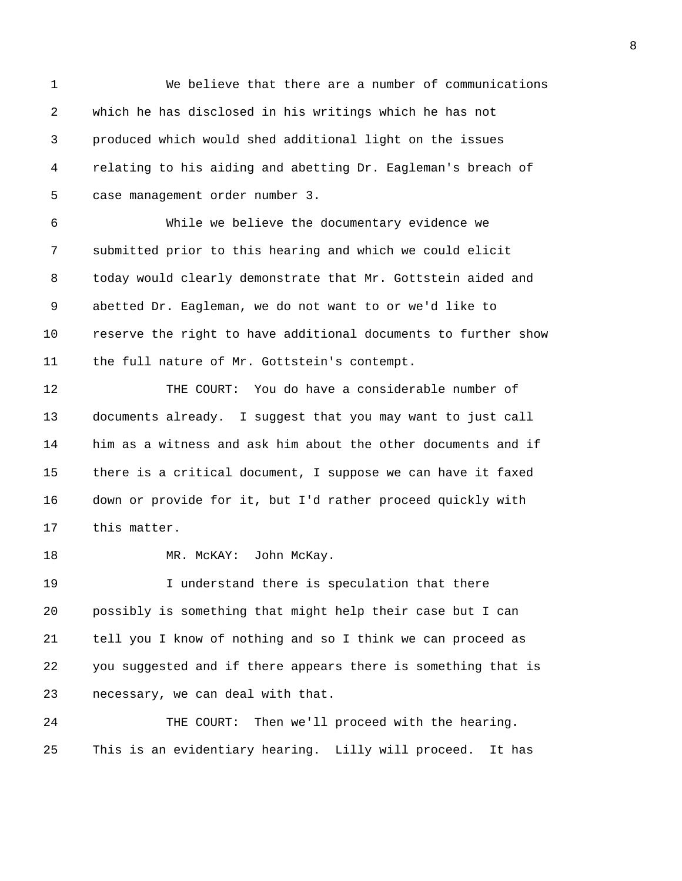1 We believe that there are a number of communications 2 which he has disclosed in his writings which he has not 3 produced which would shed additional light on the issues 4 relating to his aiding and abetting Dr. Eagleman's breach of 5 case management order number 3. 6 While we believe the documentary evidence we 7 submitted prior to this hearing and which we could elicit 8 today would clearly demonstrate that Mr. Gottstein aided and 9 abetted Dr. Eagleman, we do not want to or we'd like to 10 reserve the right to have additional documents to further show 11 the full nature of Mr. Gottstein's contempt. 12 THE COURT: You do have a considerable number of 13 documents already. I suggest that you may want to just call 14 him as a witness and ask him about the other documents and if 15 there is a critical document, I suppose we can have it faxed

17 this matter.

18 MR. McKAY: John McKay.

19 I understand there is speculation that there 20 possibly is something that might help their case but I can 21 tell you I know of nothing and so I think we can proceed as 22 you suggested and if there appears there is something that is 23 necessary, we can deal with that.

16 down or provide for it, but I'd rather proceed quickly with

24 THE COURT: Then we'll proceed with the hearing. 25 This is an evidentiary hearing. Lilly will proceed. It has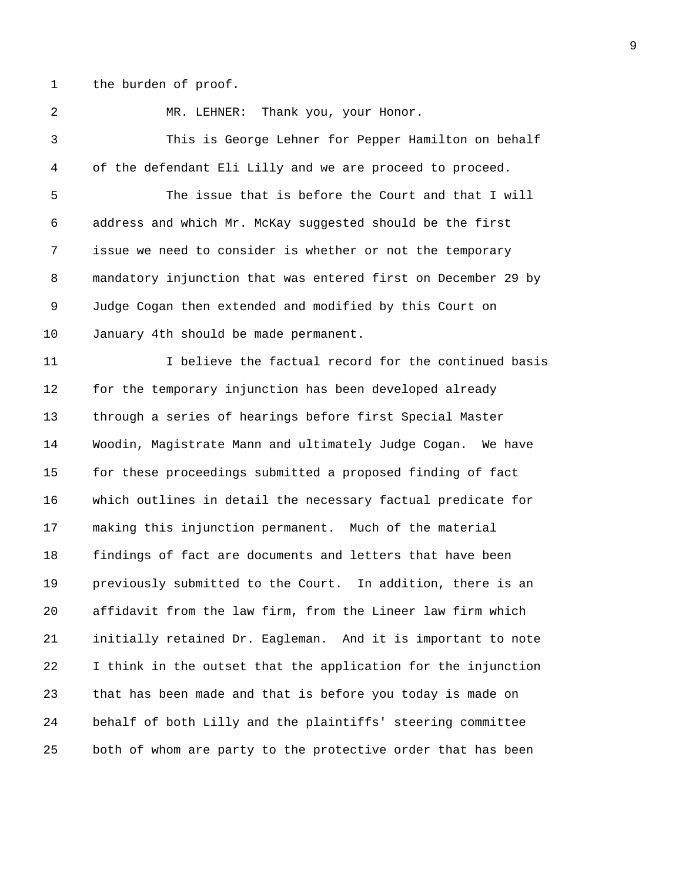1 the burden of proof.

2 MR. LEHNER: Thank you, your Honor. 3 This is George Lehner for Pepper Hamilton on behalf 4 of the defendant Eli Lilly and we are proceed to proceed. 5 The issue that is before the Court and that I will 6 address and which Mr. McKay suggested should be the first 7 issue we need to consider is whether or not the temporary 8 mandatory injunction that was entered first on December 29 by 9 Judge Cogan then extended and modified by this Court on 10 January 4th should be made permanent. 11 12 11 I believe the factual record for the continued basis 12 for the temporary injunction has been developed already 13 through a series of hearings before first Special Master 14 Woodin, Magistrate Mann and ultimately Judge Cogan. We have 15 for these proceedings submitted a proposed finding of fact 16 which outlines in detail the necessary factual predicate for 17 making this injunction permanent. Much of the material 18 findings of fact are documents and letters that have been 19 previously submitted to the Court. In addition, there is an 20 affidavit from the law firm, from the Lineer law firm which 21 initially retained Dr. Eagleman. And it is important to note 22 I think in the outset that the application for the injunction 23 that has been made and that is before you today is made on 24 behalf of both Lilly and the plaintiffs' steering committee 25 both of whom are party to the protective order that has been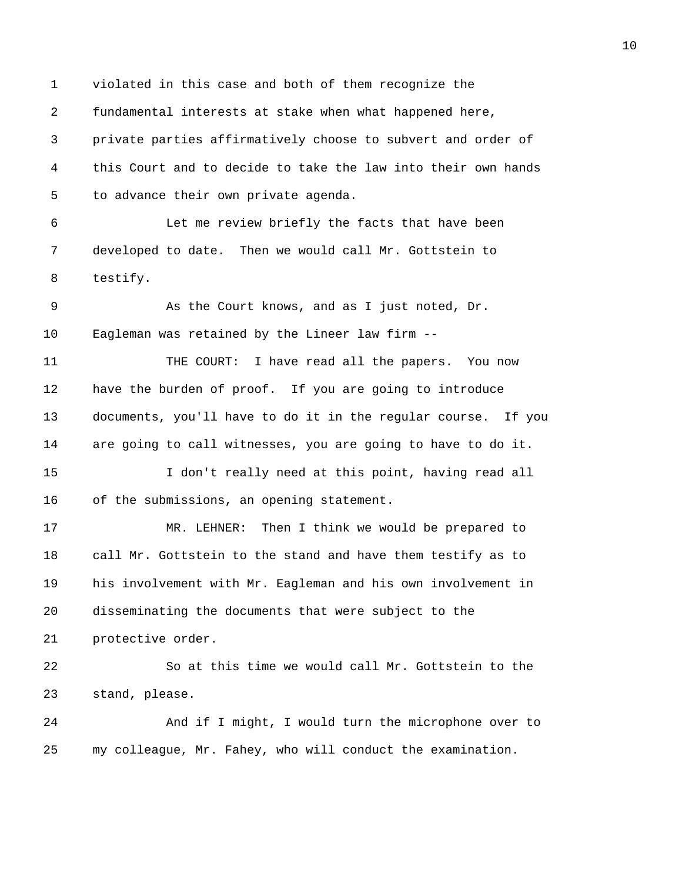1 violated in this case and both of them recognize the 2 fundamental interests at stake when what happened here, 3 private parties affirmatively choose to subvert and order of 4 this Court and to decide to take the law into their own hands 5 to advance their own private agenda. 6 Let me review briefly the facts that have been 7 developed to date. Then we would call Mr. Gottstein to 8 testify. 9 As the Court knows, and as I just noted, Dr. 10 Eagleman was retained by the Lineer law firm -- 11 THE COURT: I have read all the papers. You now 12 have the burden of proof. If you are going to introduce 13 documents, you'll have to do it in the regular course. If you 14 are going to call witnesses, you are going to have to do it. 15 I don't really need at this point, having read all 16 of the submissions, an opening statement. 17 MR. LEHNER: Then I think we would be prepared to 18 call Mr. Gottstein to the stand and have them testify as to 19 his involvement with Mr. Eagleman and his own involvement in 20 disseminating the documents that were subject to the 21 protective order. 22 So at this time we would call Mr. Gottstein to the 23 stand, please. 24 And if I might, I would turn the microphone over to 25 my colleague, Mr. Fahey, who will conduct the examination.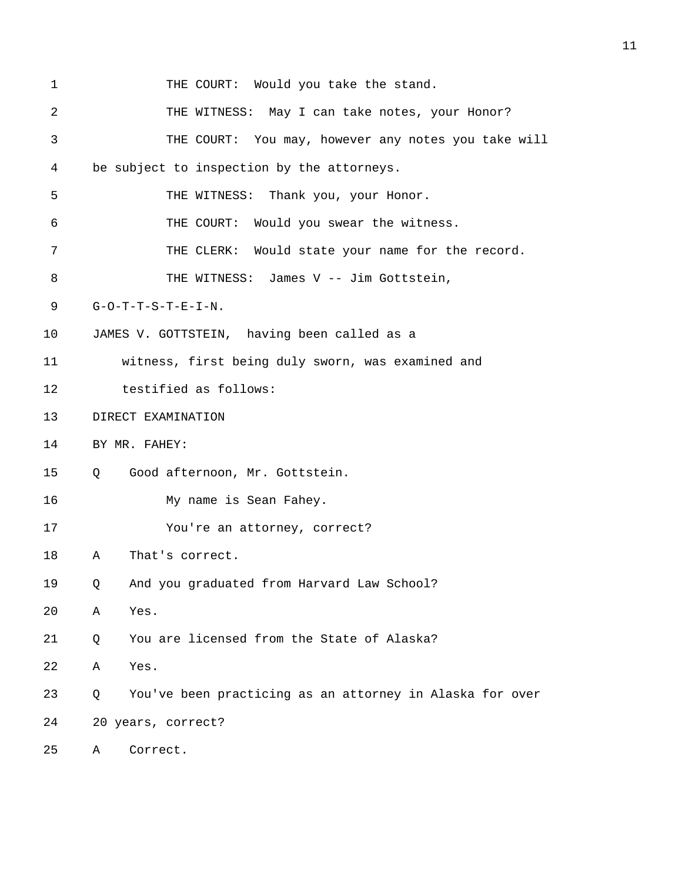| 1  | THE COURT: Would you take the stand.                          |  |  |  |  |  |  |  |  |
|----|---------------------------------------------------------------|--|--|--|--|--|--|--|--|
| 2  | THE WITNESS: May I can take notes, your Honor?                |  |  |  |  |  |  |  |  |
| 3  | THE COURT: You may, however any notes you take will           |  |  |  |  |  |  |  |  |
| 4  | be subject to inspection by the attorneys.                    |  |  |  |  |  |  |  |  |
| 5  | THE WITNESS: Thank you, your Honor.                           |  |  |  |  |  |  |  |  |
| 6  | THE COURT: Would you swear the witness.                       |  |  |  |  |  |  |  |  |
| 7  | THE CLERK: Would state your name for the record.              |  |  |  |  |  |  |  |  |
| 8  | THE WITNESS: James V -- Jim Gottstein,                        |  |  |  |  |  |  |  |  |
| 9  | $G-O-T-T-S-T-E-I-N.$                                          |  |  |  |  |  |  |  |  |
| 10 | JAMES V. GOTTSTEIN, having been called as a                   |  |  |  |  |  |  |  |  |
| 11 | witness, first being duly sworn, was examined and             |  |  |  |  |  |  |  |  |
| 12 | testified as follows:                                         |  |  |  |  |  |  |  |  |
| 13 | DIRECT EXAMINATION                                            |  |  |  |  |  |  |  |  |
| 14 | BY MR. FAHEY:                                                 |  |  |  |  |  |  |  |  |
| 15 | Good afternoon, Mr. Gottstein.<br>Q                           |  |  |  |  |  |  |  |  |
| 16 | My name is Sean Fahey.                                        |  |  |  |  |  |  |  |  |
| 17 | You're an attorney, correct?                                  |  |  |  |  |  |  |  |  |
| 18 | That's correct.<br>Α                                          |  |  |  |  |  |  |  |  |
| 19 | And you graduated from Harvard Law School?<br>Q               |  |  |  |  |  |  |  |  |
| 20 | Yes.<br>Α                                                     |  |  |  |  |  |  |  |  |
| 21 | You are licensed from the State of Alaska?<br>Q               |  |  |  |  |  |  |  |  |
| 22 | Yes.<br>Α                                                     |  |  |  |  |  |  |  |  |
| 23 | You've been practicing as an attorney in Alaska for over<br>Q |  |  |  |  |  |  |  |  |
| 24 | 20 years, correct?                                            |  |  |  |  |  |  |  |  |
| 25 | Correct.<br>Α                                                 |  |  |  |  |  |  |  |  |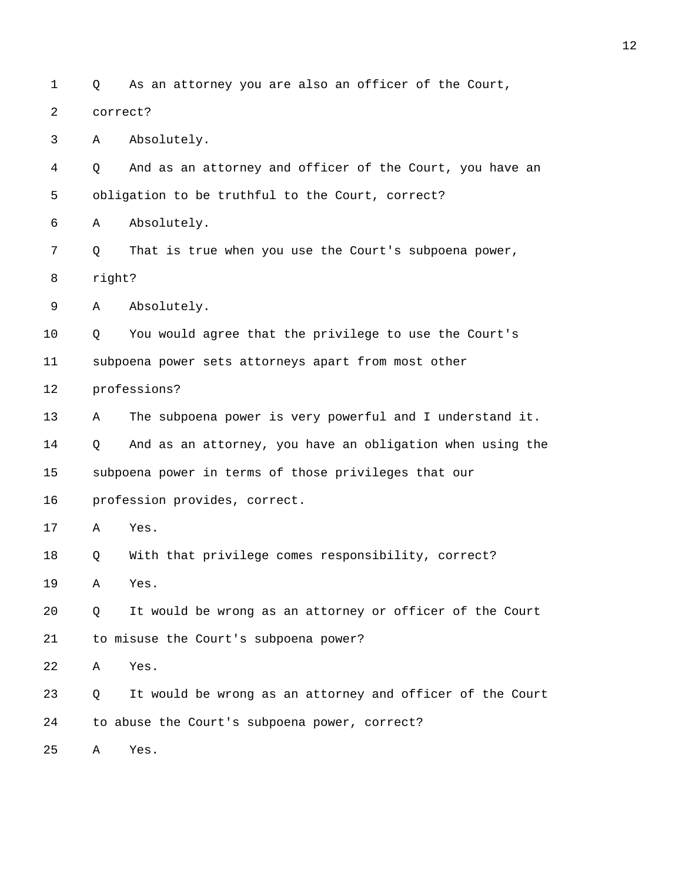1 Q As an attorney you are also an officer of the Court, 2 correct? 3 A Absolutely. 4 Q And as an attorney and officer of the Court, you have an 5 obligation to be truthful to the Court, correct? 6 A Absolutely. 7 Q That is true when you use the Court's subpoena power, 8 right? 9 A Absolutely. 10 Q You would agree that the privilege to use the Court's 11 subpoena power sets attorneys apart from most other 12 professions? 13 A The subpoena power is very powerful and I understand it. 14 Q And as an attorney, you have an obligation when using the 15 subpoena power in terms of those privileges that our 16 profession provides, correct. 17 A Yes. 18 Q With that privilege comes responsibility, correct? 19 A Yes. 20 Q It would be wrong as an attorney or officer of the Court 21 to misuse the Court's subpoena power? 22 A Yes. 23 Q It would be wrong as an attorney and officer of the Court 24 to abuse the Court's subpoena power, correct? 25 A Yes.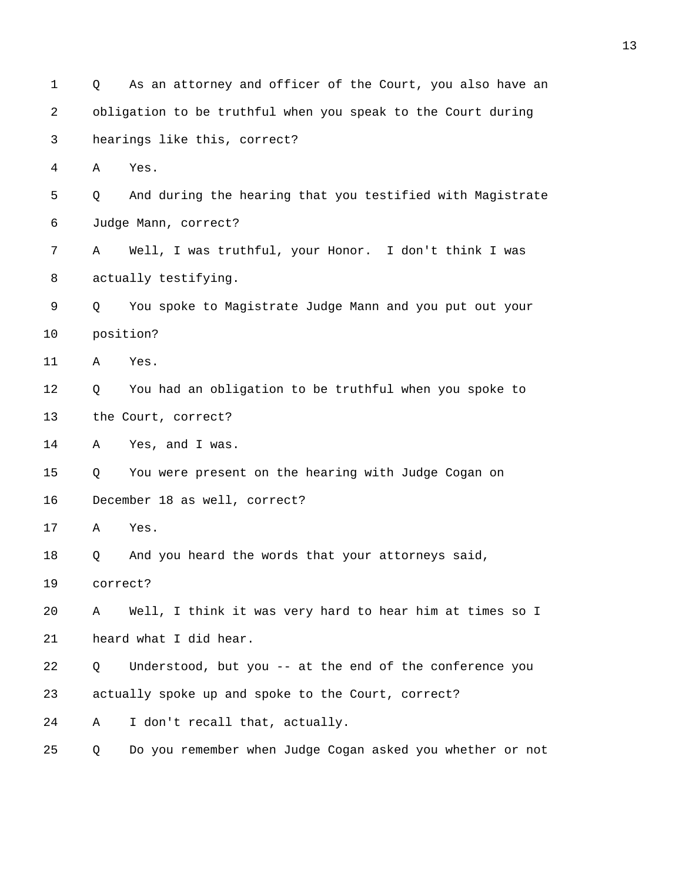| $\mathbf 1$ | Q        | As an attorney and officer of the Court, you also have an    |
|-------------|----------|--------------------------------------------------------------|
| 2           |          | obligation to be truthful when you speak to the Court during |
| 3           |          | hearings like this, correct?                                 |
| 4           | Α        | Yes.                                                         |
| 5           | Q        | And during the hearing that you testified with Magistrate    |
| 6           |          | Judge Mann, correct?                                         |
| 7           | Α        | Well, I was truthful, your Honor. I don't think I was        |
| 8           |          | actually testifying.                                         |
| 9           | Q        | You spoke to Magistrate Judge Mann and you put out your      |
| 10          |          | position?                                                    |
| 11          | Α        | Yes.                                                         |
| 12          | Q        | You had an obligation to be truthful when you spoke to       |
| 13          |          | the Court, correct?                                          |
| 14          | Α        | Yes, and I was.                                              |
| 15          | Q        | You were present on the hearing with Judge Cogan on          |
| 16          |          | December 18 as well, correct?                                |
| 17          | Α        | Yes.                                                         |
| 18          | Q        | And you heard the words that your attorneys said,            |
| 19          | correct? |                                                              |
| 20          | Α        | Well, I think it was very hard to hear him at times so I     |
| 21          |          | heard what I did hear.                                       |
| 22          | Q        | Understood, but you -- at the end of the conference you      |
| 23          |          | actually spoke up and spoke to the Court, correct?           |
| 24          | Α        | I don't recall that, actually.                               |
| 25          | Q        | Do you remember when Judge Cogan asked you whether or not    |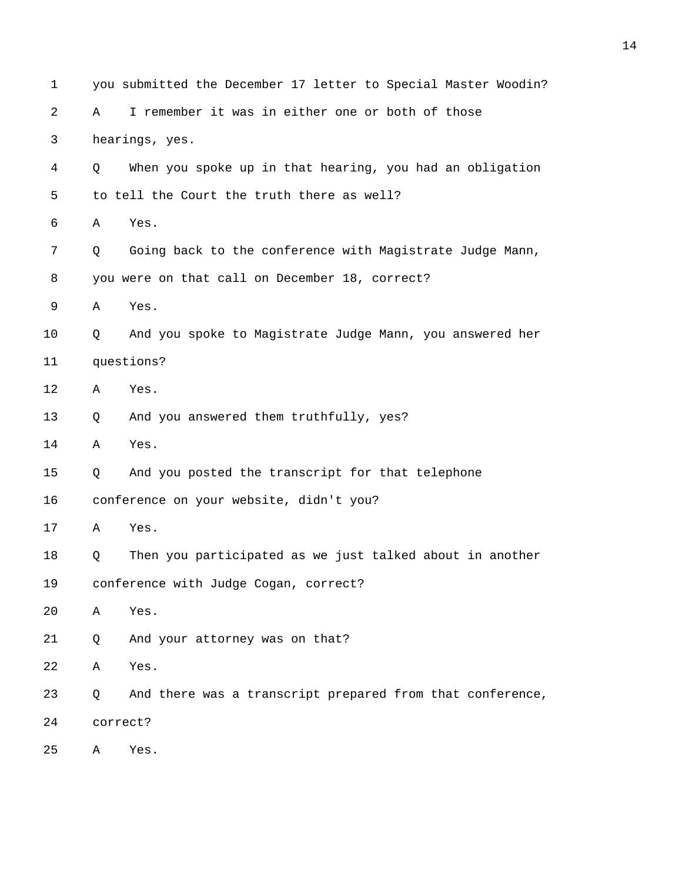| 1  |                                                | you submitted the December 17 letter to Special Master Woodin? |  |  |  |  |  |  |  |  |  |
|----|------------------------------------------------|----------------------------------------------------------------|--|--|--|--|--|--|--|--|--|
| 2  | Α                                              | I remember it was in either one or both of those               |  |  |  |  |  |  |  |  |  |
| 3  |                                                | hearings, yes.                                                 |  |  |  |  |  |  |  |  |  |
| 4  | Q                                              | When you spoke up in that hearing, you had an obligation       |  |  |  |  |  |  |  |  |  |
| 5  | to tell the Court the truth there as well?     |                                                                |  |  |  |  |  |  |  |  |  |
| 6  | Α                                              | Yes.                                                           |  |  |  |  |  |  |  |  |  |
| 7  | Q                                              | Going back to the conference with Magistrate Judge Mann,       |  |  |  |  |  |  |  |  |  |
| 8  | you were on that call on December 18, correct? |                                                                |  |  |  |  |  |  |  |  |  |
| 9  | Α                                              | Yes.                                                           |  |  |  |  |  |  |  |  |  |
| 10 | Q                                              | And you spoke to Magistrate Judge Mann, you answered her       |  |  |  |  |  |  |  |  |  |
| 11 | questions?                                     |                                                                |  |  |  |  |  |  |  |  |  |
| 12 | Α                                              | Yes.                                                           |  |  |  |  |  |  |  |  |  |
| 13 | Q                                              | And you answered them truthfully, yes?                         |  |  |  |  |  |  |  |  |  |
| 14 | Α                                              | Yes.                                                           |  |  |  |  |  |  |  |  |  |
| 15 | Q                                              | And you posted the transcript for that telephone               |  |  |  |  |  |  |  |  |  |
| 16 |                                                | conference on your website, didn't you?                        |  |  |  |  |  |  |  |  |  |
| 17 | Α                                              | Yes.                                                           |  |  |  |  |  |  |  |  |  |
| 18 | Q                                              | Then you participated as we just talked about in another       |  |  |  |  |  |  |  |  |  |
| 19 |                                                | conference with Judge Cogan, correct?                          |  |  |  |  |  |  |  |  |  |
| 20 | Α                                              | Yes.                                                           |  |  |  |  |  |  |  |  |  |
| 21 | Q                                              | And your attorney was on that?                                 |  |  |  |  |  |  |  |  |  |
| 22 | Α                                              | Yes.                                                           |  |  |  |  |  |  |  |  |  |
| 23 | Q                                              | And there was a transcript prepared from that conference,      |  |  |  |  |  |  |  |  |  |
| 24 | correct?                                       |                                                                |  |  |  |  |  |  |  |  |  |
| 25 | Α                                              | Yes.                                                           |  |  |  |  |  |  |  |  |  |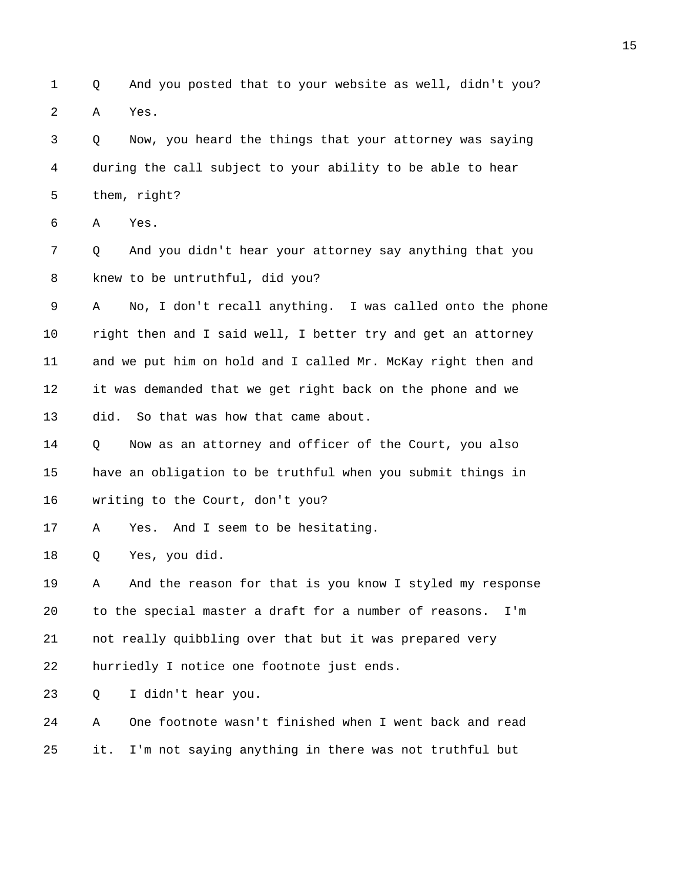1 Q And you posted that to your website as well, didn't you? 2 A Yes.

3 Q Now, you heard the things that your attorney was saying 4 during the call subject to your ability to be able to hear 5 them, right?

6 A Yes.

7 Q And you didn't hear your attorney say anything that you 8 knew to be untruthful, did you?

9 A No, I don't recall anything. I was called onto the phone 10 right then and I said well, I better try and get an attorney 11 and we put him on hold and I called Mr. McKay right then and 12 it was demanded that we get right back on the phone and we 13 did. So that was how that came about.

14 Q Now as an attorney and officer of the Court, you also 15 have an obligation to be truthful when you submit things in 16 writing to the Court, don't you?

17 A Yes. And I seem to be hesitating.

18 Q Yes, you did.

19 A And the reason for that is you know I styled my response 20 to the special master a draft for a number of reasons. I'm 21 not really quibbling over that but it was prepared very 22 hurriedly I notice one footnote just ends.

23 Q I didn't hear you.

24 A One footnote wasn't finished when I went back and read 25 it. I'm not saying anything in there was not truthful but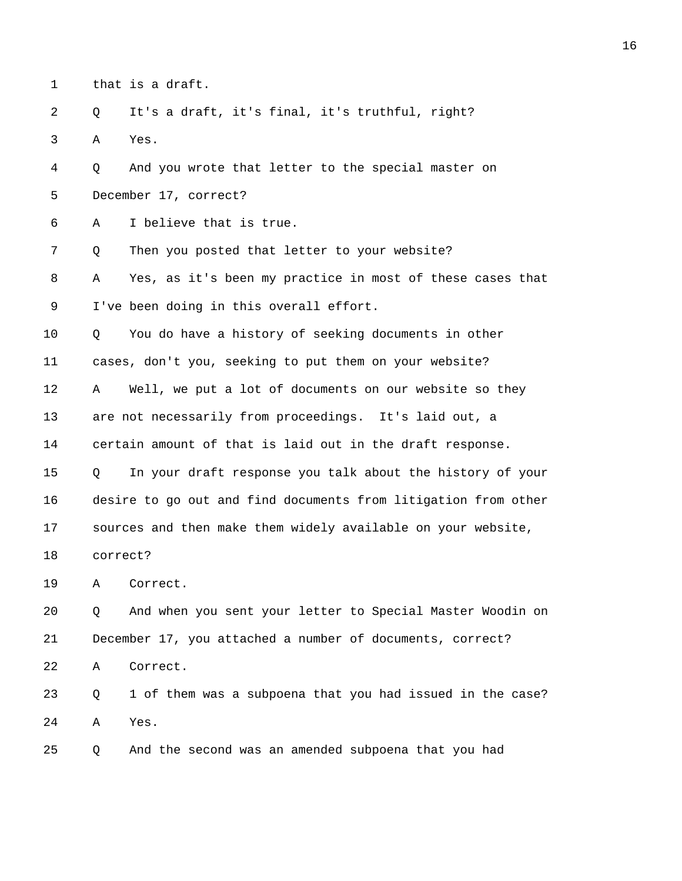1 that is a draft.

2 Q It's a draft, it's final, it's truthful, right? 3 A Yes.

4 Q And you wrote that letter to the special master on 5 December 17, correct?

6 A I believe that is true.

7 Q Then you posted that letter to your website?

8 A Yes, as it's been my practice in most of these cases that 9 I've been doing in this overall effort.

10 Q You do have a history of seeking documents in other 11 cases, don't you, seeking to put them on your website?

12 A Well, we put a lot of documents on our website so they 13 are not necessarily from proceedings. It's laid out, a 14 certain amount of that is laid out in the draft response.

15 Q In your draft response you talk about the history of your 16 desire to go out and find documents from litigation from other 17 sources and then make them widely available on your website, 18 correct?

19 A Correct.

20 Q And when you sent your letter to Special Master Woodin on 21 December 17, you attached a number of documents, correct?

22 A Correct.

23 Q 1 of them was a subpoena that you had issued in the case? 24 A Yes.

25 Q And the second was an amended subpoena that you had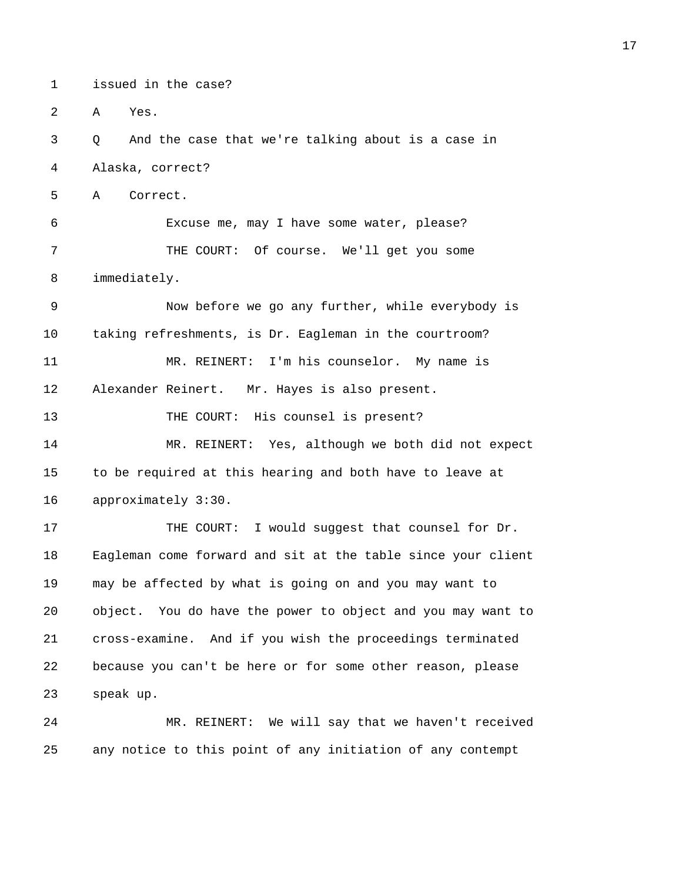1 issued in the case?

2 A Yes.

3 Q And the case that we're talking about is a case in 4 Alaska, correct?

5 A Correct.

6 Excuse me, may I have some water, please? 7 THE COURT: Of course. We'll get you some 8 immediately.

9 Now before we go any further, while everybody is 10 taking refreshments, is Dr. Eagleman in the courtroom? 11 MR. REINERT: I'm his counselor. My name is 12 Alexander Reinert. Mr. Hayes is also present. 13 THE COURT: His counsel is present?

14 MR. REINERT: Yes, although we both did not expect 15 to be required at this hearing and both have to leave at 16 approximately 3:30.

17 THE COURT: I would suggest that counsel for Dr. 18 Eagleman come forward and sit at the table since your client 19 may be affected by what is going on and you may want to 20 object. You do have the power to object and you may want to 21 cross-examine. And if you wish the proceedings terminated 22 because you can't be here or for some other reason, please 23 speak up.

24 MR. REINERT: We will say that we haven't received 25 any notice to this point of any initiation of any contempt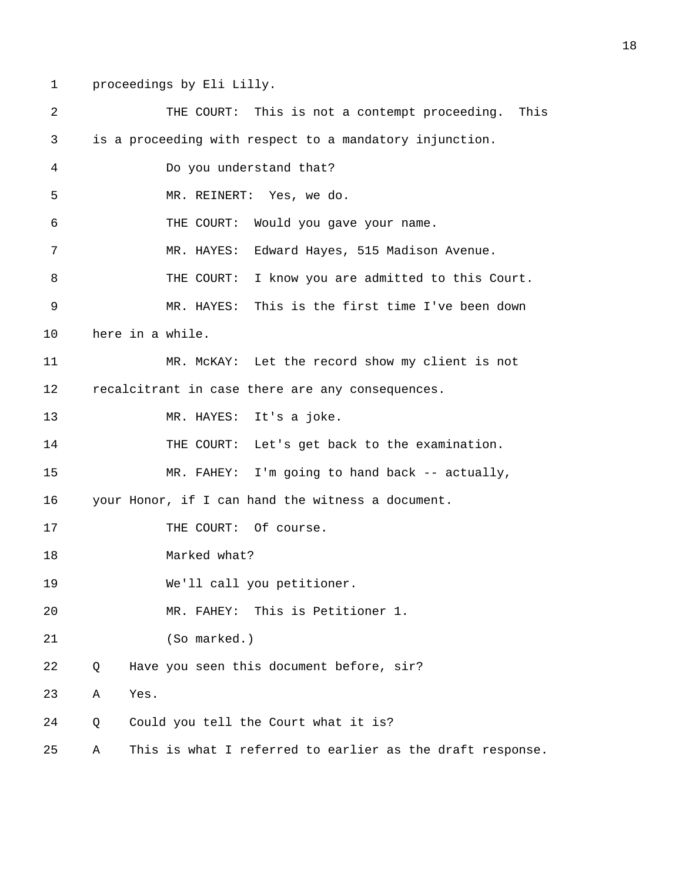1 proceedings by Eli Lilly.

| 2  |   |      | THE COURT: This is not a contempt proceeding.<br>This     |
|----|---|------|-----------------------------------------------------------|
| 3  |   |      | is a proceeding with respect to a mandatory injunction.   |
| 4  |   |      | Do you understand that?                                   |
| 5  |   |      | MR. REINERT: Yes, we do.                                  |
| 6  |   |      | THE COURT:<br>Would you gave your name.                   |
| 7  |   |      | Edward Hayes, 515 Madison Avenue.<br>MR. HAYES:           |
| 8  |   |      | I know you are admitted to this Court.<br>THE COURT:      |
| 9  |   |      | MR. HAYES: This is the first time I've been down          |
| 10 |   |      | here in a while.                                          |
| 11 |   |      | MR. McKAY: Let the record show my client is not           |
| 12 |   |      | recalcitrant in case there are any consequences.          |
| 13 |   |      | MR. HAYES: It's a joke.                                   |
| 14 |   |      | THE COURT: Let's get back to the examination.             |
| 15 |   |      | MR. FAHEY: I'm going to hand back -- actually,            |
| 16 |   |      | your Honor, if I can hand the witness a document.         |
| 17 |   |      | THE COURT: Of course.                                     |
| 18 |   |      | Marked what?                                              |
| 19 |   |      | We'll call you petitioner.                                |
| 20 |   |      | This is Petitioner 1.<br>MR. FAHEY:                       |
| 21 |   |      | (So marked.)                                              |
| 22 | Q |      | Have you seen this document before, sir?                  |
| 23 | Α | Yes. |                                                           |
| 24 | Q |      | Could you tell the Court what it is?                      |
| 25 | Α |      | This is what I referred to earlier as the draft response. |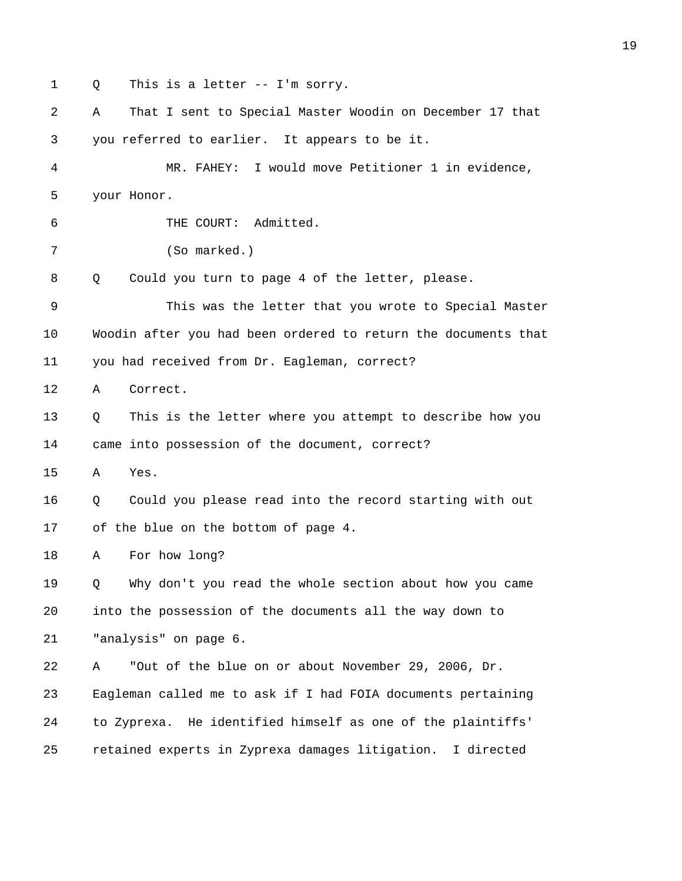1 Q This is a letter -- I'm sorry. 2 A That I sent to Special Master Woodin on December 17 that 3 you referred to earlier. It appears to be it. 4 MR. FAHEY: I would move Petitioner 1 in evidence, 5 your Honor. 6 THE COURT: Admitted. 7 (So marked.) 8 Q Could you turn to page 4 of the letter, please. 9 This was the letter that you wrote to Special Master 10 Woodin after you had been ordered to return the documents that 11 you had received from Dr. Eagleman, correct? 12 A Correct. 13 Q This is the letter where you attempt to describe how you 14 came into possession of the document, correct? 15 A Yes. 16 Q Could you please read into the record starting with out 17 of the blue on the bottom of page 4. 18 A For how long? 19 Q Why don't you read the whole section about how you came 20 into the possession of the documents all the way down to 21 "analysis" on page 6. 22 A "Out of the blue on or about November 29, 2006, Dr. 23 Eagleman called me to ask if I had FOIA documents pertaining 24 to Zyprexa. He identified himself as one of the plaintiffs' 25 retained experts in Zyprexa damages litigation. I directed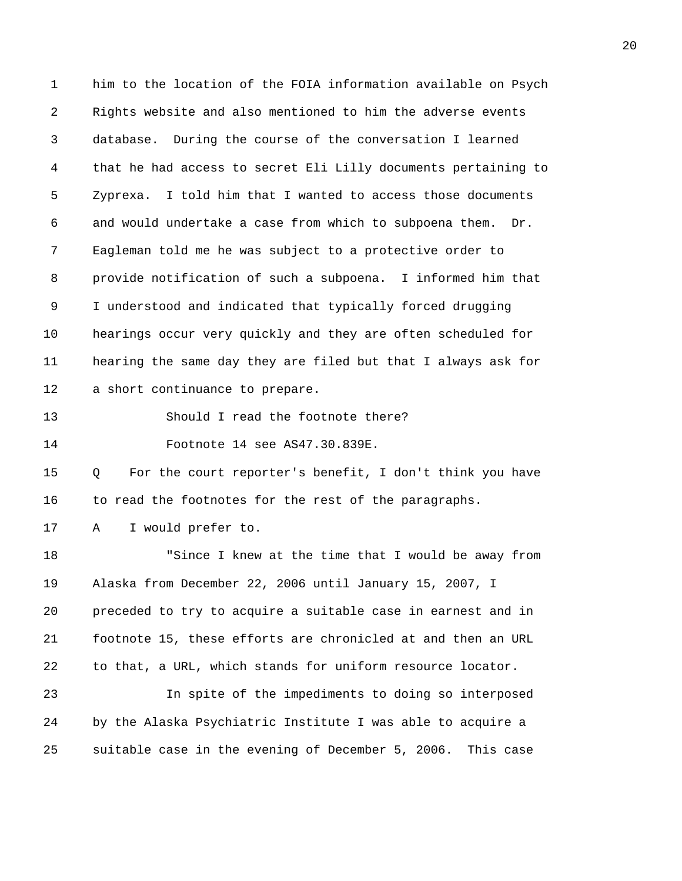1 him to the location of the FOIA information available on Psych 2 Rights website and also mentioned to him the adverse events 3 database. During the course of the conversation I learned 4 that he had access to secret Eli Lilly documents pertaining to 5 Zyprexa. I told him that I wanted to access those documents 6 and would undertake a case from which to subpoena them. Dr. 7 Eagleman told me he was subject to a protective order to 8 provide notification of such a subpoena. I informed him that 9 I understood and indicated that typically forced drugging 10 hearings occur very quickly and they are often scheduled for 11 hearing the same day they are filed but that I always ask for 12 a short continuance to prepare.

13 Should I read the footnote there?

14 Footnote 14 see AS47.30.839E.

15 Q For the court reporter's benefit, I don't think you have 16 to read the footnotes for the rest of the paragraphs.

17 A I would prefer to.

18 "Since I knew at the time that I would be away from 19 Alaska from December 22, 2006 until January 15, 2007, I 20 preceded to try to acquire a suitable case in earnest and in 21 footnote 15, these efforts are chronicled at and then an URL 22 to that, a URL, which stands for uniform resource locator. 23 In spite of the impediments to doing so interposed 24 by the Alaska Psychiatric Institute I was able to acquire a

25 suitable case in the evening of December 5, 2006. This case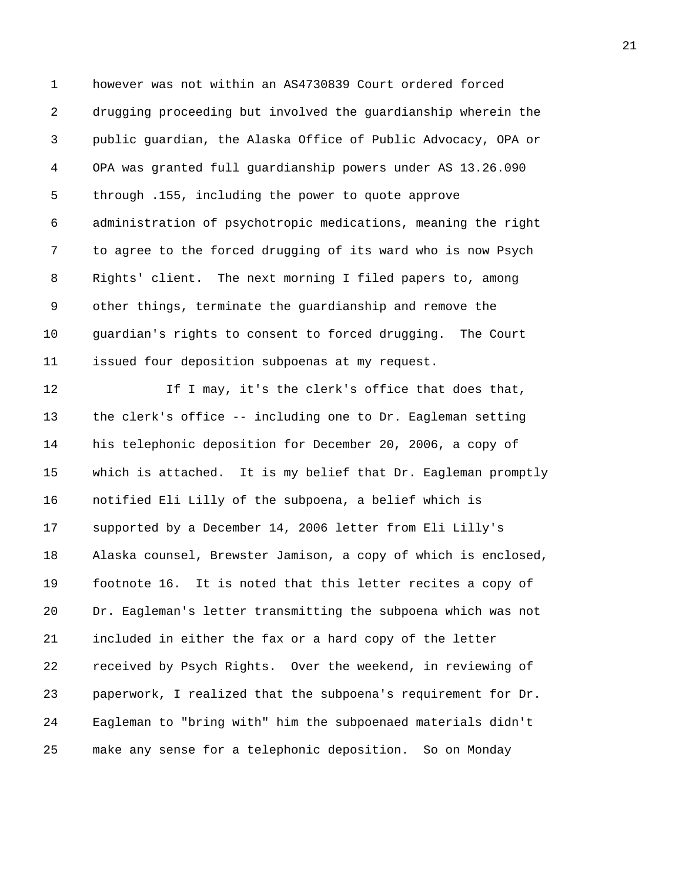1 however was not within an AS4730839 Court ordered forced 2 drugging proceeding but involved the guardianship wherein the 3 public guardian, the Alaska Office of Public Advocacy, OPA or 4 OPA was granted full guardianship powers under AS 13.26.090 5 through .155, including the power to quote approve 6 administration of psychotropic medications, meaning the right 7 to agree to the forced drugging of its ward who is now Psych 8 Rights' client. The next morning I filed papers to, among 9 other things, terminate the guardianship and remove the 10 guardian's rights to consent to forced drugging. The Court 11 issued four deposition subpoenas at my request.

12 16 I may, it's the clerk's office that does that, 13 the clerk's office -- including one to Dr. Eagleman setting 14 his telephonic deposition for December 20, 2006, a copy of 15 which is attached. It is my belief that Dr. Eagleman promptly 16 notified Eli Lilly of the subpoena, a belief which is 17 supported by a December 14, 2006 letter from Eli Lilly's 18 Alaska counsel, Brewster Jamison, a copy of which is enclosed, 19 footnote 16. It is noted that this letter recites a copy of 20 Dr. Eagleman's letter transmitting the subpoena which was not 21 included in either the fax or a hard copy of the letter 22 received by Psych Rights. Over the weekend, in reviewing of 23 paperwork, I realized that the subpoena's requirement for Dr. 24 Eagleman to "bring with" him the subpoenaed materials didn't 25 make any sense for a telephonic deposition. So on Monday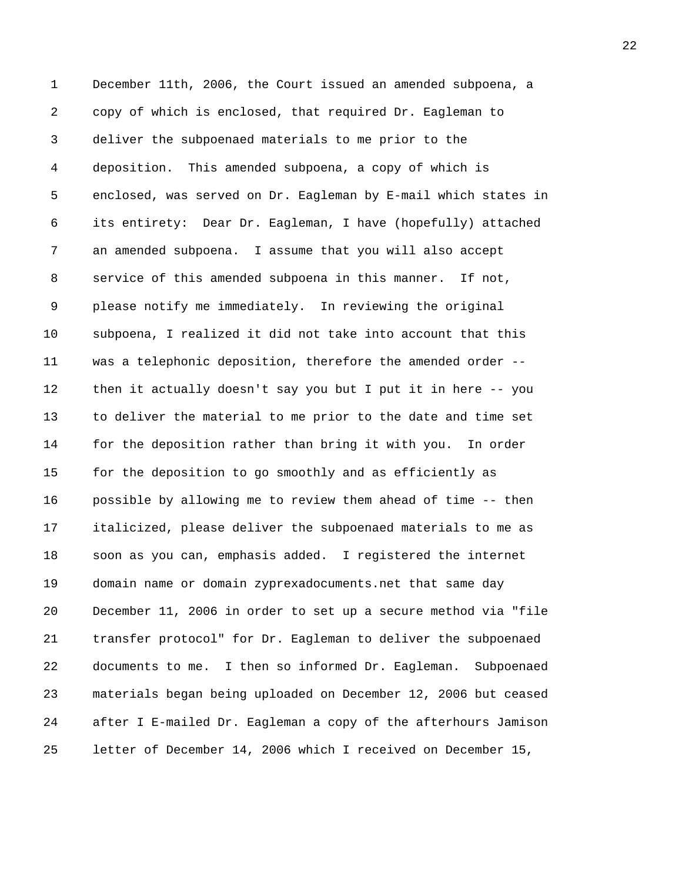1 December 11th, 2006, the Court issued an amended subpoena, a 2 copy of which is enclosed, that required Dr. Eagleman to 3 deliver the subpoenaed materials to me prior to the 4 deposition. This amended subpoena, a copy of which is 5 enclosed, was served on Dr. Eagleman by E-mail which states in 6 its entirety: Dear Dr. Eagleman, I have (hopefully) attached 7 an amended subpoena. I assume that you will also accept 8 service of this amended subpoena in this manner. If not, 9 please notify me immediately. In reviewing the original 10 subpoena, I realized it did not take into account that this 11 was a telephonic deposition, therefore the amended order -- 12 then it actually doesn't say you but I put it in here -- you 13 to deliver the material to me prior to the date and time set 14 for the deposition rather than bring it with you. In order 15 for the deposition to go smoothly and as efficiently as 16 possible by allowing me to review them ahead of time -- then 17 italicized, please deliver the subpoenaed materials to me as 18 soon as you can, emphasis added. I registered the internet 19 domain name or domain zyprexadocuments.net that same day 20 December 11, 2006 in order to set up a secure method via "file 21 transfer protocol" for Dr. Eagleman to deliver the subpoenaed 22 documents to me. I then so informed Dr. Eagleman. Subpoenaed 23 materials began being uploaded on December 12, 2006 but ceased 24 after I E-mailed Dr. Eagleman a copy of the afterhours Jamison 25 letter of December 14, 2006 which I received on December 15,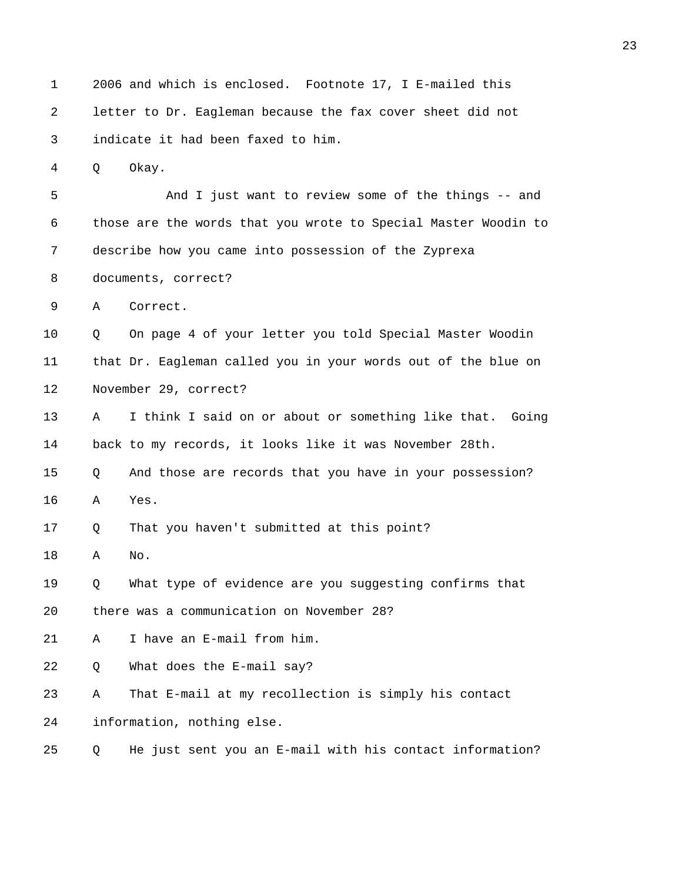1 2006 and which is enclosed. Footnote 17, I E-mailed this 2 letter to Dr. Eagleman because the fax cover sheet did not 3 indicate it had been faxed to him. 4 Q Okay. 5 And I just want to review some of the things -- and 6 those are the words that you wrote to Special Master Woodin to 7 describe how you came into possession of the Zyprexa 8 documents, correct? 9 A Correct. 10 Q On page 4 of your letter you told Special Master Woodin 11 that Dr. Eagleman called you in your words out of the blue on 12 November 29, correct? 13 A I think I said on or about or something like that. Going 14 back to my records, it looks like it was November 28th. 15 Q And those are records that you have in your possession? 16 A Yes. 17 Q That you haven't submitted at this point? 18 A No. 19 Q What type of evidence are you suggesting confirms that 20 there was a communication on November 28? 21 A I have an E-mail from him. 22 Q What does the E-mail say? 23 A That E-mail at my recollection is simply his contact 24 information, nothing else. 25 Q He just sent you an E-mail with his contact information?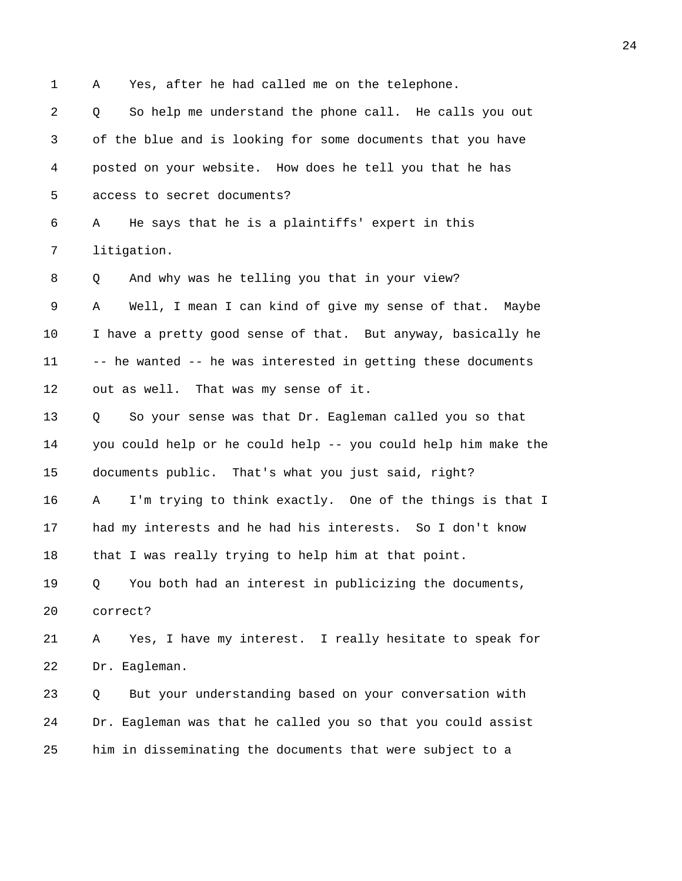1 A Yes, after he had called me on the telephone.

2 Q So help me understand the phone call. He calls you out 3 of the blue and is looking for some documents that you have 4 posted on your website. How does he tell you that he has 5 access to secret documents?

6 A He says that he is a plaintiffs' expert in this 7 litigation.

8 0 And why was he telling you that in your view?

9 A Well, I mean I can kind of give my sense of that. Maybe 10 I have a pretty good sense of that. But anyway, basically he 11 -- he wanted -- he was interested in getting these documents 12 out as well. That was my sense of it.

13 Q So your sense was that Dr. Eagleman called you so that 14 you could help or he could help -- you could help him make the 15 documents public. That's what you just said, right?

16 A I'm trying to think exactly. One of the things is that I 17 had my interests and he had his interests. So I don't know 18 that I was really trying to help him at that point.

19 Q You both had an interest in publicizing the documents, 20 correct?

21 A Yes, I have my interest. I really hesitate to speak for 22 Dr. Eagleman.

23 Q But your understanding based on your conversation with 24 Dr. Eagleman was that he called you so that you could assist 25 him in disseminating the documents that were subject to a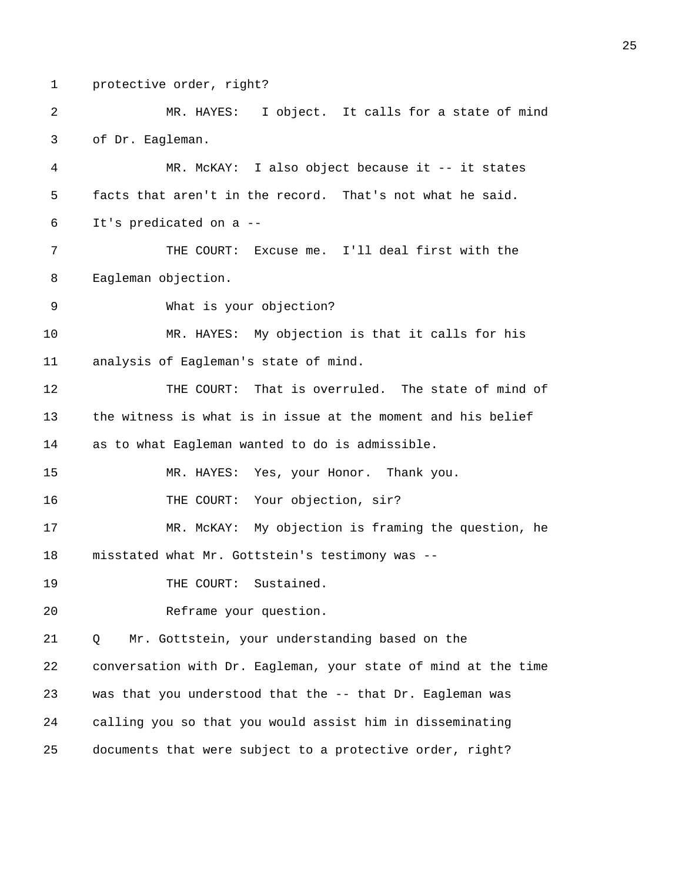1 protective order, right?

2 MR. HAYES: I object. It calls for a state of mind 3 of Dr. Eagleman.

4 MR. McKAY: I also object because it -- it states 5 facts that aren't in the record. That's not what he said. 6 It's predicated on a --

7 THE COURT: Excuse me. I'll deal first with the 8 Eagleman objection.

9 What is your objection?

10 MR. HAYES: My objection is that it calls for his 11 analysis of Eagleman's state of mind.

12 THE COURT: That is overruled. The state of mind of 13 the witness is what is in issue at the moment and his belief 14 as to what Eagleman wanted to do is admissible.

15 MR. HAYES: Yes, your Honor. Thank you.

16 THE COURT: Your objection, sir?

17 MR. McKAY: My objection is framing the question, he 18 misstated what Mr. Gottstein's testimony was --

19 THE COURT: Sustained.

20 Reframe your question.

21 Q Mr. Gottstein, your understanding based on the

22 conversation with Dr. Eagleman, your state of mind at the time 23 was that you understood that the -- that Dr. Eagleman was 24 calling you so that you would assist him in disseminating 25 documents that were subject to a protective order, right?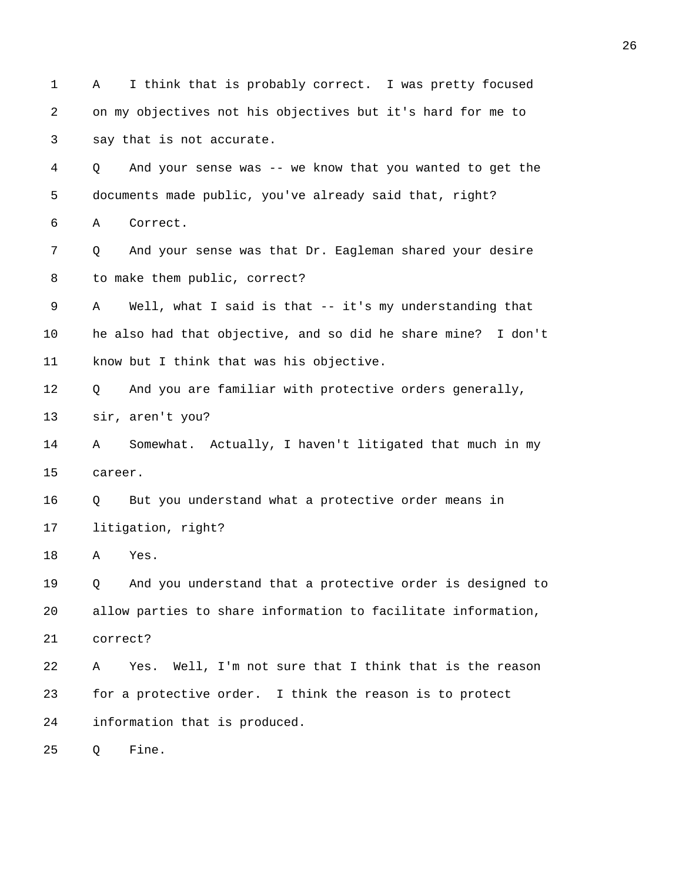1 A I think that is probably correct. I was pretty focused 2 on my objectives not his objectives but it's hard for me to 3 say that is not accurate. 4 Q And your sense was -- we know that you wanted to get the 5 documents made public, you've already said that, right? 6 A Correct. 7 Q And your sense was that Dr. Eagleman shared your desire 8 to make them public, correct? 9 A Well, what I said is that -- it's my understanding that 10 he also had that objective, and so did he share mine? I don't 11 know but I think that was his objective. 12 Q And you are familiar with protective orders generally, 13 sir, aren't you? 14 A Somewhat. Actually, I haven't litigated that much in my 15 career. 16 Q But you understand what a protective order means in 17 litigation, right? 18 A Yes. 19 Q And you understand that a protective order is designed to 20 allow parties to share information to facilitate information, 21 correct? 22 A Yes. Well, I'm not sure that I think that is the reason 23 for a protective order. I think the reason is to protect 24 information that is produced. 25 Q Fine.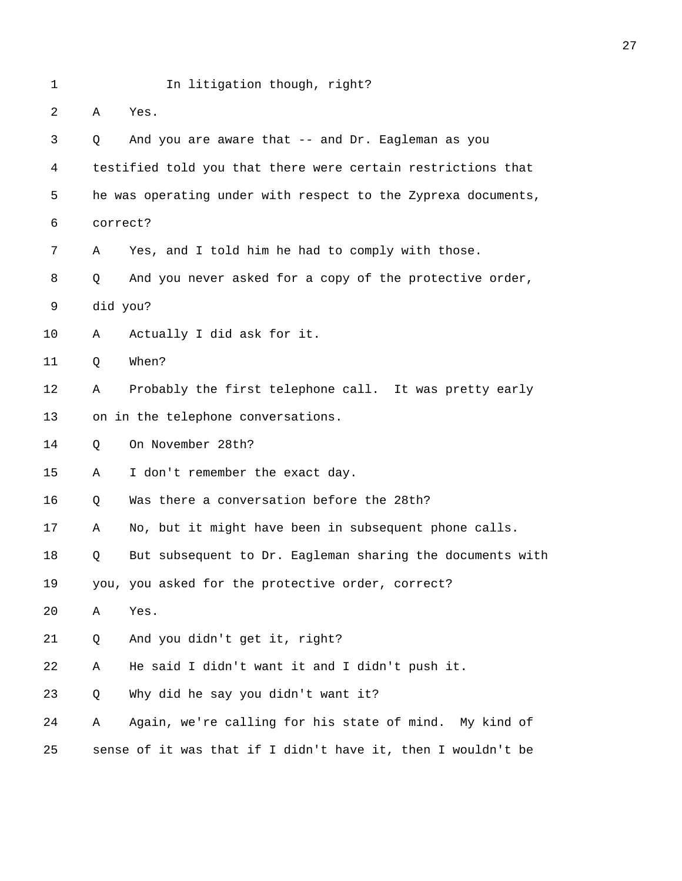| $\mathbf 1$ |          | In litigation though, right?                                  |
|-------------|----------|---------------------------------------------------------------|
| 2           | Α        | Yes.                                                          |
| 3           | Q        | And you are aware that -- and Dr. Eagleman as you             |
| 4           |          | testified told you that there were certain restrictions that  |
| 5           |          | he was operating under with respect to the Zyprexa documents, |
| 6           | correct? |                                                               |
| 7           | Α        | Yes, and I told him he had to comply with those.              |
| 8           | Q        | And you never asked for a copy of the protective order,       |
| 9           | did you? |                                                               |
| 10          | Α        | Actually I did ask for it.                                    |
| 11          | Q        | When?                                                         |
| 12          | Α        | Probably the first telephone call. It was pretty early        |
| 13          |          | on in the telephone conversations.                            |
| 14          | Q        | On November 28th?                                             |
| 15          | Α        | I don't remember the exact day.                               |
| 16          | Q        | Was there a conversation before the 28th?                     |
| 17          | Α        | No, but it might have been in subsequent phone calls.         |
| 18          | Q        | But subsequent to Dr. Eagleman sharing the documents with     |
| 19          |          | you, you asked for the protective order, correct?             |
| 20          | Α        | Yes.                                                          |
| 21          | Q        | And you didn't get it, right?                                 |
| 22          | Α        | He said I didn't want it and I didn't push it.                |
| 23          | Q        | Why did he say you didn't want it?                            |
| 24          | Α        | Again, we're calling for his state of mind. My kind of        |
| 25          |          | sense of it was that if I didn't have it, then I wouldn't be  |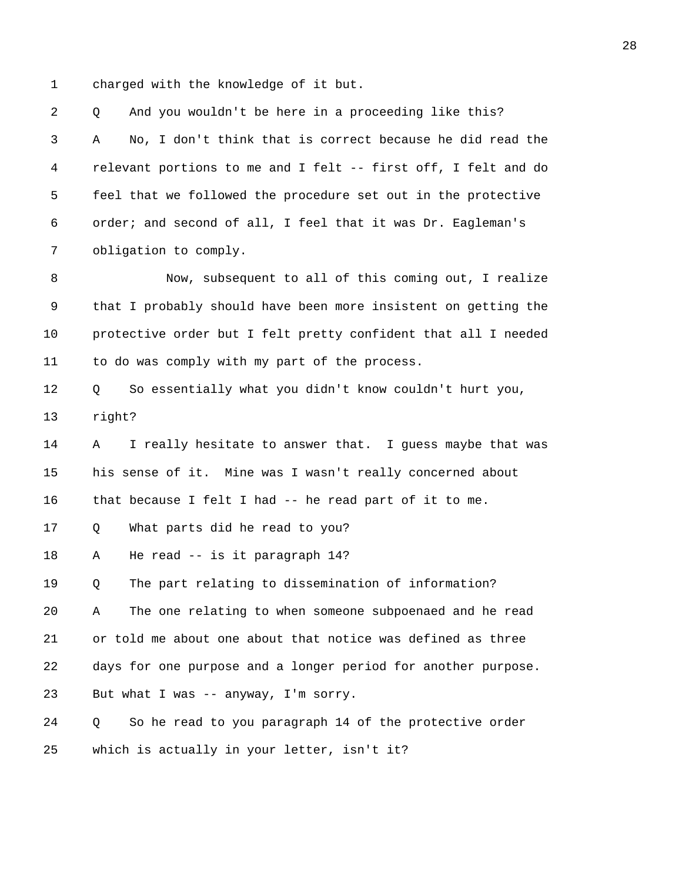1 charged with the knowledge of it but.

2 Q And you wouldn't be here in a proceeding like this? 3 A No, I don't think that is correct because he did read the 4 relevant portions to me and I felt -- first off, I felt and do 5 feel that we followed the procedure set out in the protective 6 order; and second of all, I feel that it was Dr. Eagleman's 7 obligation to comply. 8 Now, subsequent to all of this coming out, I realize 9 that I probably should have been more insistent on getting the 10 protective order but I felt pretty confident that all I needed 11 to do was comply with my part of the process. 12 Q So essentially what you didn't know couldn't hurt you, 13 right? 14 A I really hesitate to answer that. I guess maybe that was 15 his sense of it. Mine was I wasn't really concerned about 16 that because I felt I had -- he read part of it to me. 17 Q What parts did he read to you? 18 A He read -- is it paragraph 14? 19 Q The part relating to dissemination of information? 20 A The one relating to when someone subpoenaed and he read 21 or told me about one about that notice was defined as three 22 days for one purpose and a longer period for another purpose. 23 But what I was -- anyway, I'm sorry. 24 Q So he read to you paragraph 14 of the protective order 25 which is actually in your letter, isn't it?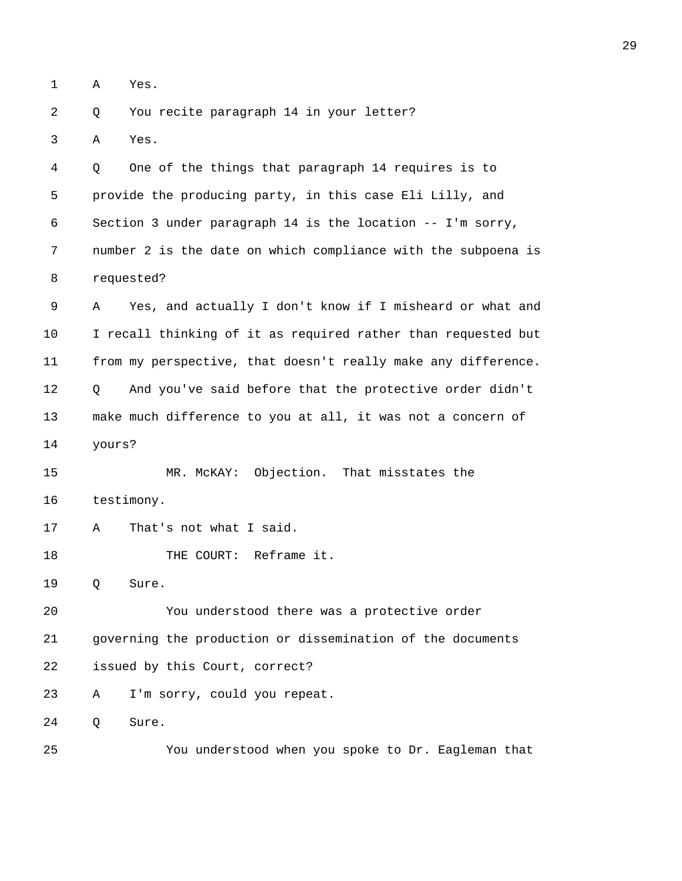1 A Yes.

2 Q You recite paragraph 14 in your letter?

3 A Yes.

4 Q One of the things that paragraph 14 requires is to 5 provide the producing party, in this case Eli Lilly, and 6 Section 3 under paragraph 14 is the location -- I'm sorry, 7 number 2 is the date on which compliance with the subpoena is 8 requested?

9 A Yes, and actually I don't know if I misheard or what and 10 I recall thinking of it as required rather than requested but 11 from my perspective, that doesn't really make any difference. 12 Q And you've said before that the protective order didn't 13 make much difference to you at all, it was not a concern of 14 yours?

15 MR. McKAY: Objection. That misstates the 16 testimony.

17 A That's not what I said.

18 THE COURT: Reframe it.

19 Q Sure.

20 You understood there was a protective order 21 governing the production or dissemination of the documents 22 issued by this Court, correct? 23 A I'm sorry, could you repeat.

24 Q Sure.

25 You understood when you spoke to Dr. Eagleman that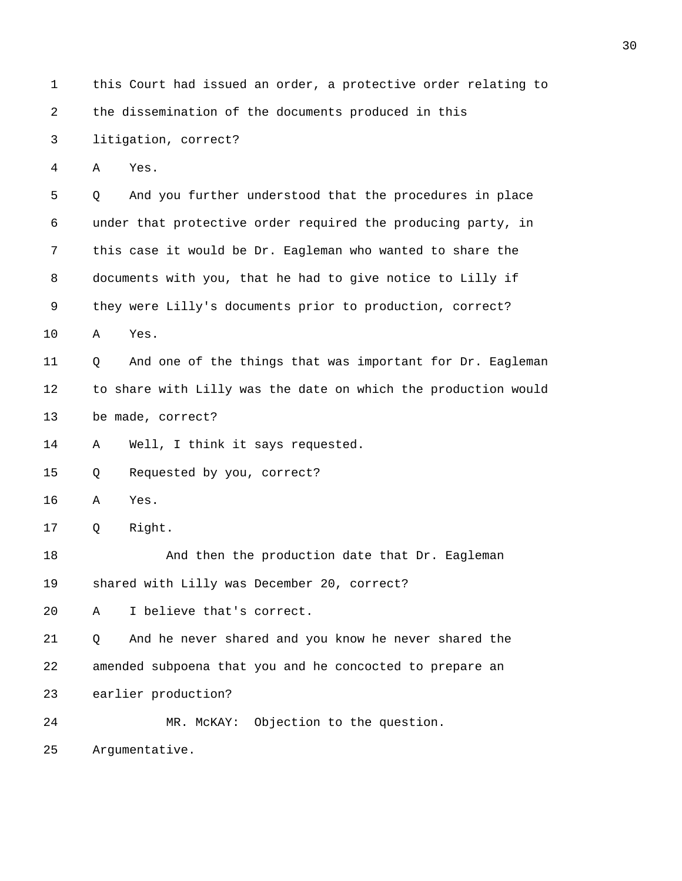| $\mathbf 1$ | this Court had issued an order, a protective order relating to |  |  |  |  |  |  |  |  |
|-------------|----------------------------------------------------------------|--|--|--|--|--|--|--|--|
| 2           | the dissemination of the documents produced in this            |  |  |  |  |  |  |  |  |
| 3           | litigation, correct?                                           |  |  |  |  |  |  |  |  |
| 4           | Yes.<br>Α                                                      |  |  |  |  |  |  |  |  |
| 5           | And you further understood that the procedures in place<br>Q   |  |  |  |  |  |  |  |  |
| 6           | under that protective order required the producing party, in   |  |  |  |  |  |  |  |  |
| 7           | this case it would be Dr. Eagleman who wanted to share the     |  |  |  |  |  |  |  |  |
| 8           | documents with you, that he had to give notice to Lilly if     |  |  |  |  |  |  |  |  |
| 9           | they were Lilly's documents prior to production, correct?      |  |  |  |  |  |  |  |  |
| 10          | Yes.<br>Α                                                      |  |  |  |  |  |  |  |  |
| 11          | And one of the things that was important for Dr. Eagleman<br>Q |  |  |  |  |  |  |  |  |
| 12          | to share with Lilly was the date on which the production would |  |  |  |  |  |  |  |  |
| 13          | be made, correct?                                              |  |  |  |  |  |  |  |  |
| 14          | Well, I think it says requested.<br>Α                          |  |  |  |  |  |  |  |  |
| 15          | Requested by you, correct?<br>Q                                |  |  |  |  |  |  |  |  |
| 16          | Yes.<br>Α                                                      |  |  |  |  |  |  |  |  |
| 17          | Right.<br>Q                                                    |  |  |  |  |  |  |  |  |
| 18          | And then the production date that Dr. Eagleman                 |  |  |  |  |  |  |  |  |
| 19          | shared with Lilly was December 20, correct?                    |  |  |  |  |  |  |  |  |
| 20          | I believe that's correct.<br>Α                                 |  |  |  |  |  |  |  |  |
| 21          | And he never shared and you know he never shared the<br>Q      |  |  |  |  |  |  |  |  |
| 22          | amended subpoena that you and he concocted to prepare an       |  |  |  |  |  |  |  |  |
| 23          | earlier production?                                            |  |  |  |  |  |  |  |  |
| 24          | Objection to the question.<br>MR. MCKAY:                       |  |  |  |  |  |  |  |  |
| 25          | Argumentative.                                                 |  |  |  |  |  |  |  |  |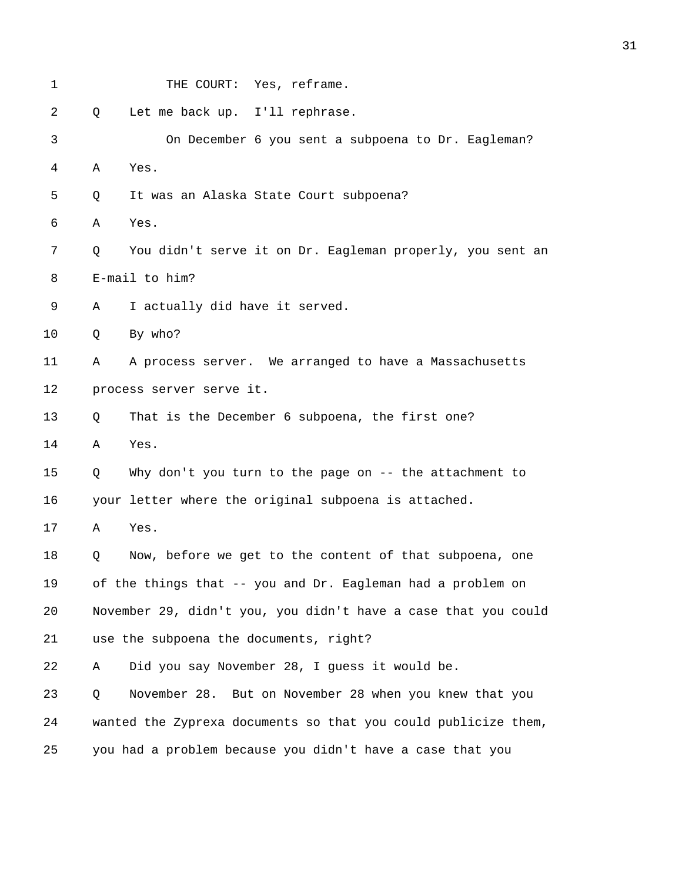| 1              |   | THE COURT: Yes, reframe.                                       |
|----------------|---|----------------------------------------------------------------|
| $\overline{2}$ | Q | Let me back up. I'll rephrase.                                 |
| 3              |   | On December 6 you sent a subpoena to Dr. Eagleman?             |
| 4              | A | Yes.                                                           |
| 5              | Q | It was an Alaska State Court subpoena?                         |
| 6              | Α | Yes.                                                           |
| 7              | Q | You didn't serve it on Dr. Eagleman properly, you sent an      |
| 8              |   | E-mail to him?                                                 |
| 9              | Α | I actually did have it served.                                 |
| 10             | Q | By who?                                                        |
| 11             | Α | A process server. We arranged to have a Massachusetts          |
| 12             |   | process server serve it.                                       |
| 13             | Q | That is the December 6 subpoena, the first one?                |
| 14             | Α | Yes.                                                           |
| 15             | Q | Why don't you turn to the page on -- the attachment to         |
| 16             |   | your letter where the original subpoena is attached.           |
| 17             | Α | Yes.                                                           |
| 18             | Q | Now, before we get to the content of that subpoena, one        |
| 19             |   | of the things that -- you and Dr. Eagleman had a problem on    |
| 20             |   | November 29, didn't you, you didn't have a case that you could |
| 21             |   | use the subpoena the documents, right?                         |
| 22             | Α | Did you say November 28, I guess it would be.                  |
| 23             | Q | November 28. But on November 28 when you knew that you         |
| 24             |   | wanted the Zyprexa documents so that you could publicize them, |
| 25             |   | you had a problem because you didn't have a case that you      |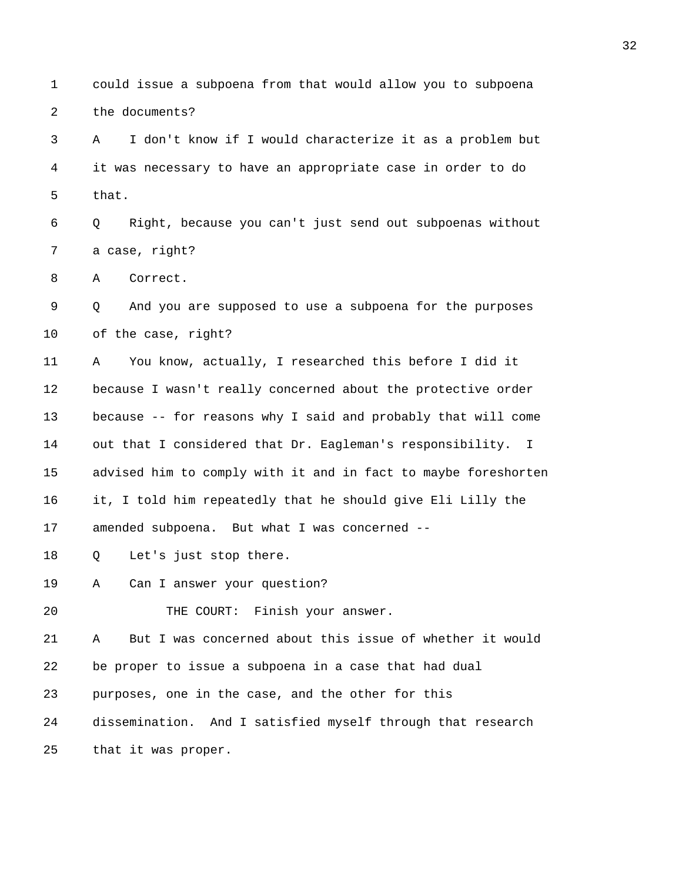1 could issue a subpoena from that would allow you to subpoena 2 the documents? 3 A I don't know if I would characterize it as a problem but 4 it was necessary to have an appropriate case in order to do 5 that. 6 Q Right, because you can't just send out subpoenas without 7 a case, right? 8 A Correct. 9 Q And you are supposed to use a subpoena for the purposes 10 of the case, right? 11 A You know, actually, I researched this before I did it 12 because I wasn't really concerned about the protective order 13 because -- for reasons why I said and probably that will come 14 out that I considered that Dr. Eagleman's responsibility. I 15 advised him to comply with it and in fact to maybe foreshorten 16 it, I told him repeatedly that he should give Eli Lilly the 17 amended subpoena. But what I was concerned -- 18 Q Let's just stop there. 19 A Can I answer your question? 20 THE COURT: Finish your answer. 21 A But I was concerned about this issue of whether it would 22 be proper to issue a subpoena in a case that had dual 23 purposes, one in the case, and the other for this 24 dissemination. And I satisfied myself through that research 25 that it was proper.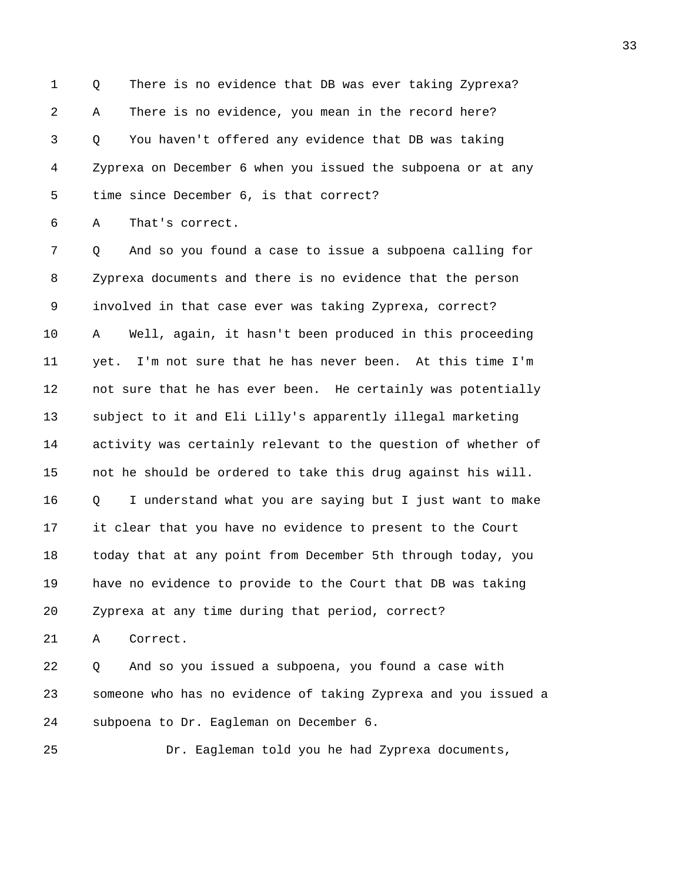1 Q There is no evidence that DB was ever taking Zyprexa? 2 A There is no evidence, you mean in the record here? 3 Q You haven't offered any evidence that DB was taking 4 Zyprexa on December 6 when you issued the subpoena or at any 5 time since December 6, is that correct?

6 A That's correct.

7 Q And so you found a case to issue a subpoena calling for 8 Zyprexa documents and there is no evidence that the person 9 involved in that case ever was taking Zyprexa, correct? 10 A Well, again, it hasn't been produced in this proceeding 11 yet. I'm not sure that he has never been. At this time I'm 12 not sure that he has ever been. He certainly was potentially 13 subject to it and Eli Lilly's apparently illegal marketing 14 activity was certainly relevant to the question of whether of 15 not he should be ordered to take this drug against his will. 16 Q I understand what you are saying but I just want to make 17 it clear that you have no evidence to present to the Court 18 today that at any point from December 5th through today, you 19 have no evidence to provide to the Court that DB was taking 20 Zyprexa at any time during that period, correct?

21 A Correct.

22 Q And so you issued a subpoena, you found a case with 23 someone who has no evidence of taking Zyprexa and you issued a 24 subpoena to Dr. Eagleman on December 6.

25 Dr. Eagleman told you he had Zyprexa documents,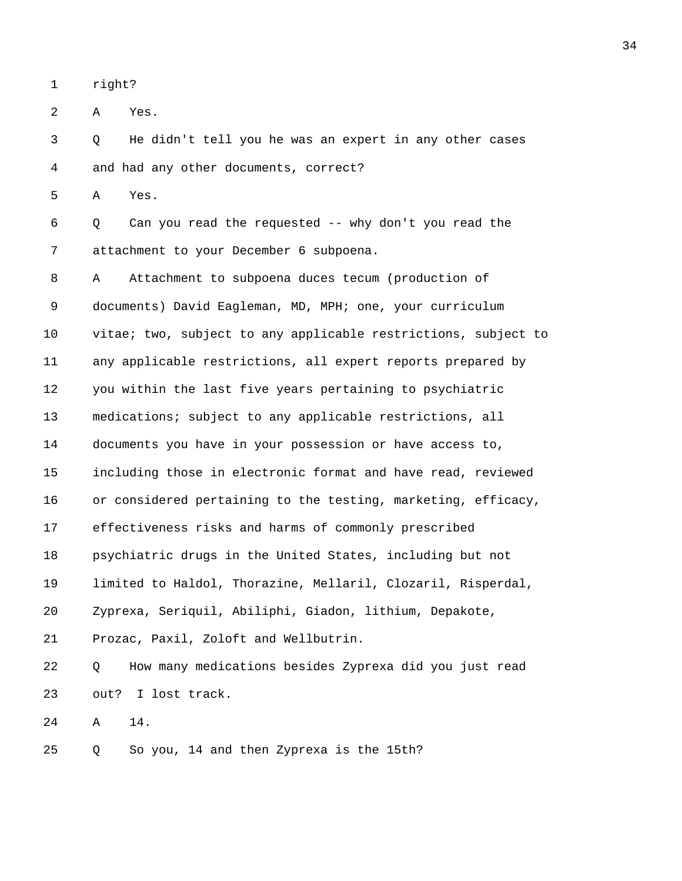1 right?

2 A Yes.

3 Q He didn't tell you he was an expert in any other cases 4 and had any other documents, correct?

5 A Yes.

6 Q Can you read the requested -- why don't you read the 7 attachment to your December 6 subpoena.

8 A Attachment to subpoena duces tecum (production of 9 documents) David Eagleman, MD, MPH; one, your curriculum 10 vitae; two, subject to any applicable restrictions, subject to 11 any applicable restrictions, all expert reports prepared by 12 you within the last five years pertaining to psychiatric 13 medications; subject to any applicable restrictions, all 14 documents you have in your possession or have access to, 15 including those in electronic format and have read, reviewed 16 or considered pertaining to the testing, marketing, efficacy, 17 effectiveness risks and harms of commonly prescribed 18 psychiatric drugs in the United States, including but not 19 limited to Haldol, Thorazine, Mellaril, Clozaril, Risperdal, 20 Zyprexa, Seriquil, Abiliphi, Giadon, lithium, Depakote, 21 Prozac, Paxil, Zoloft and Wellbutrin. 22 Q How many medications besides Zyprexa did you just read 23 out? I lost track.

24 A 14.

25 Q So you, 14 and then Zyprexa is the 15th?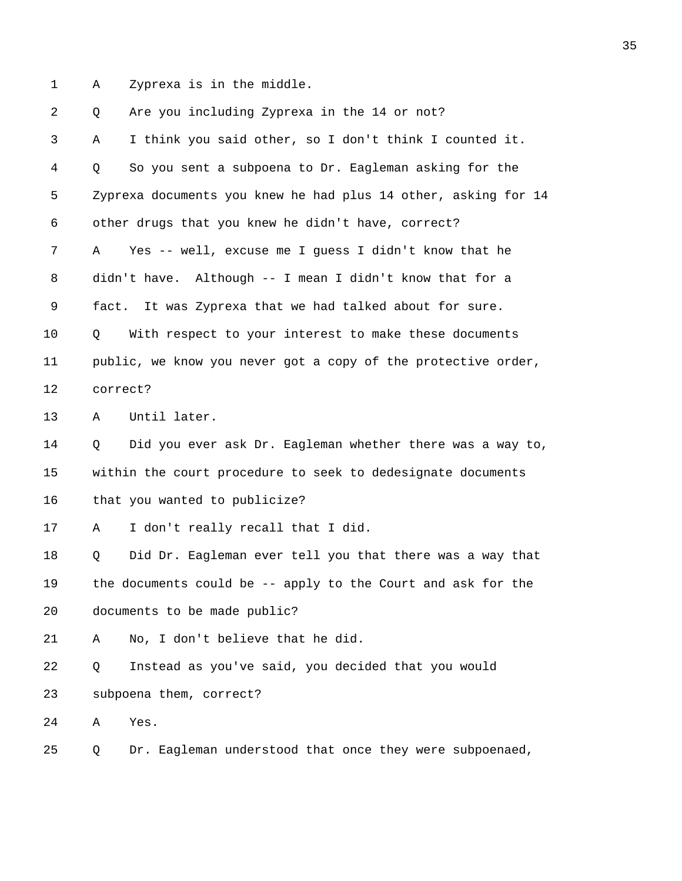1 A Zyprexa is in the middle.

2 Q Are you including Zyprexa in the 14 or not? 3 A I think you said other, so I don't think I counted it. 4 Q So you sent a subpoena to Dr. Eagleman asking for the 5 Zyprexa documents you knew he had plus 14 other, asking for 14 6 other drugs that you knew he didn't have, correct? 7 A Yes -- well, excuse me I guess I didn't know that he 8 didn't have. Although -- I mean I didn't know that for a 9 fact. It was Zyprexa that we had talked about for sure. 10 Q With respect to your interest to make these documents 11 public, we know you never got a copy of the protective order, 12 correct? 13 A Until later. 14 Q Did you ever ask Dr. Eagleman whether there was a way to, 15 within the court procedure to seek to dedesignate documents 16 that you wanted to publicize? 17 A I don't really recall that I did. 18 Q Did Dr. Eagleman ever tell you that there was a way that 19 the documents could be -- apply to the Court and ask for the 20 documents to be made public? 21 A No, I don't believe that he did. 22 Q Instead as you've said, you decided that you would 23 subpoena them, correct? 24 A Yes. 25 Q Dr. Eagleman understood that once they were subpoenaed,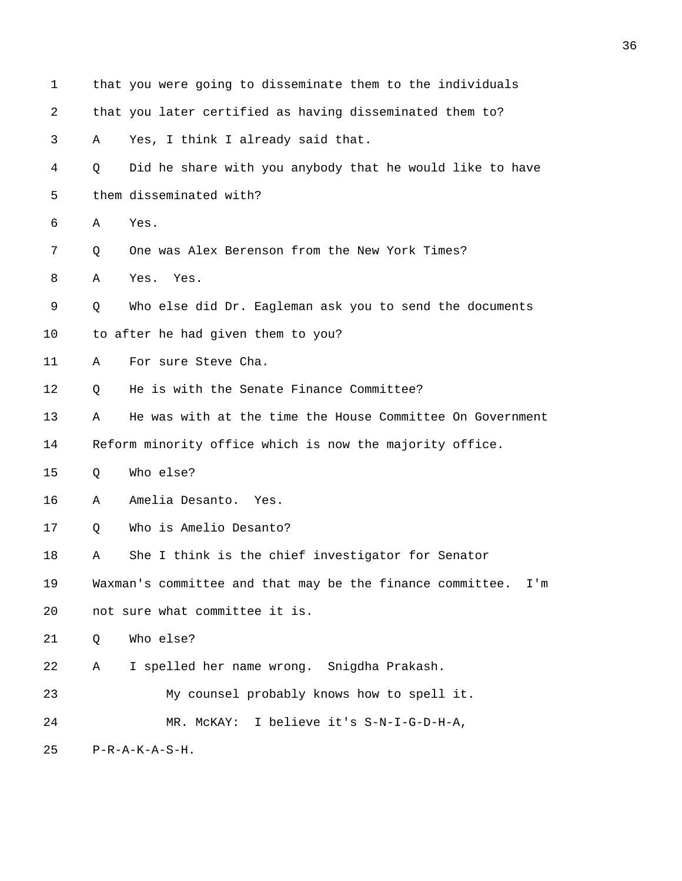| $\mathbf 1$ | that you were going to disseminate them to the individuals       |
|-------------|------------------------------------------------------------------|
| 2           | that you later certified as having disseminated them to?         |
| 3           | Yes, I think I already said that.<br>Α                           |
| 4           | Did he share with you anybody that he would like to have<br>Q    |
| 5           | them disseminated with?                                          |
| 6           | Yes.<br>Α                                                        |
| 7           | One was Alex Berenson from the New York Times?<br>Q              |
| 8           | Α<br>Yes.<br>Yes.                                                |
| 9           | Who else did Dr. Eagleman ask you to send the documents<br>Q     |
| 10          | to after he had given them to you?                               |
| 11          | For sure Steve Cha.<br>Α                                         |
| 12          | He is with the Senate Finance Committee?<br>Q                    |
| 13          | He was with at the time the House Committee On Government<br>Α   |
| 14          | Reform minority office which is now the majority office.         |
| 15          | Who else?<br>Q                                                   |
| 16          | Amelia Desanto.<br>Α<br>Yes.                                     |
| 17          | Who is Amelio Desanto?<br>Q                                      |
| 18          | She I think is the chief investigator for Senator<br>Α           |
| 19          | Waxman's committee and that may be the finance committee.<br>I'm |
| 20          | not sure what committee it is.                                   |
| 21          | Who else?<br>Q                                                   |
| 22          | I spelled her name wrong. Snigdha Prakash.<br>Α                  |
| 23          | My counsel probably knows how to spell it.                       |
| 24          | I believe it's S-N-I-G-D-H-A,<br>MR. MCKAY:                      |
| 25          | $P-R-A-K-A-S-H$ .                                                |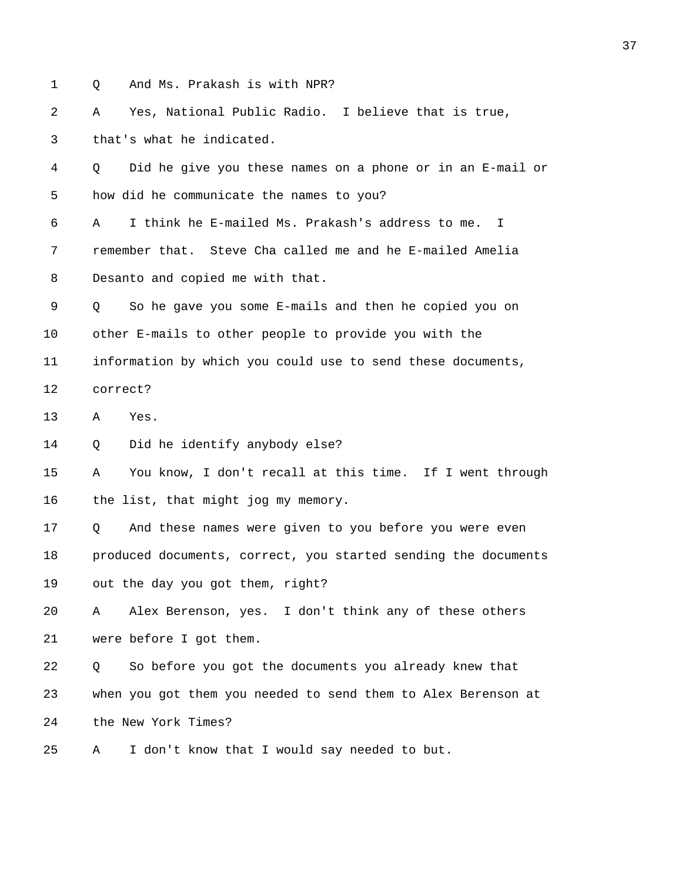1 Q And Ms. Prakash is with NPR?

2 A Yes, National Public Radio. I believe that is true, 3 that's what he indicated.

4 Q Did he give you these names on a phone or in an E-mail or 5 how did he communicate the names to you?

6 A I think he E-mailed Ms. Prakash's address to me. I 7 remember that. Steve Cha called me and he E-mailed Amelia 8 Desanto and copied me with that.

9 Q So he gave you some E-mails and then he copied you on 10 other E-mails to other people to provide you with the 11 information by which you could use to send these documents,

12 correct?

13 A Yes.

14 Q Did he identify anybody else?

15 A You know, I don't recall at this time. If I went through 16 the list, that might jog my memory.

17 Q And these names were given to you before you were even 18 produced documents, correct, you started sending the documents 19 out the day you got them, right?

20 A Alex Berenson, yes. I don't think any of these others 21 were before I got them.

22 Q So before you got the documents you already knew that 23 when you got them you needed to send them to Alex Berenson at 24 the New York Times?

25 A I don't know that I would say needed to but.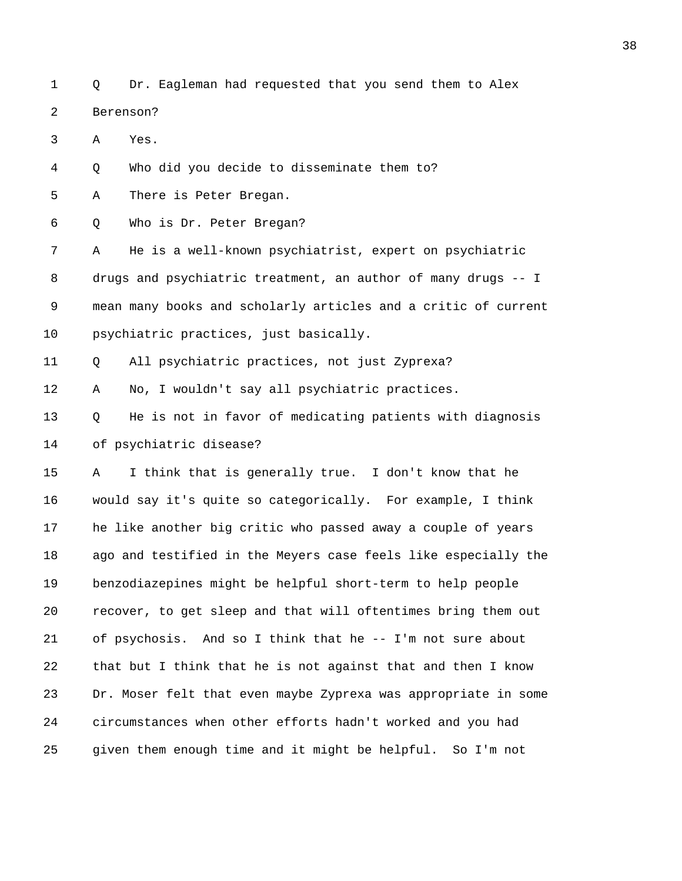1 Q Dr. Eagleman had requested that you send them to Alex 2 Berenson?

3 A Yes.

4 Q Who did you decide to disseminate them to?

5 A There is Peter Bregan.

6 Q Who is Dr. Peter Bregan?

7 A He is a well-known psychiatrist, expert on psychiatric 8 drugs and psychiatric treatment, an author of many drugs -- I 9 mean many books and scholarly articles and a critic of current 10 psychiatric practices, just basically.

11 Q All psychiatric practices, not just Zyprexa?

12 A No, I wouldn't say all psychiatric practices.

13 Q He is not in favor of medicating patients with diagnosis 14 of psychiatric disease?

15 A I think that is generally true. I don't know that he 16 would say it's quite so categorically. For example, I think 17 he like another big critic who passed away a couple of years 18 ago and testified in the Meyers case feels like especially the 19 benzodiazepines might be helpful short-term to help people 20 recover, to get sleep and that will oftentimes bring them out 21 of psychosis. And so I think that he -- I'm not sure about 22 that but I think that he is not against that and then I know 23 Dr. Moser felt that even maybe Zyprexa was appropriate in some 24 circumstances when other efforts hadn't worked and you had 25 given them enough time and it might be helpful. So I'm not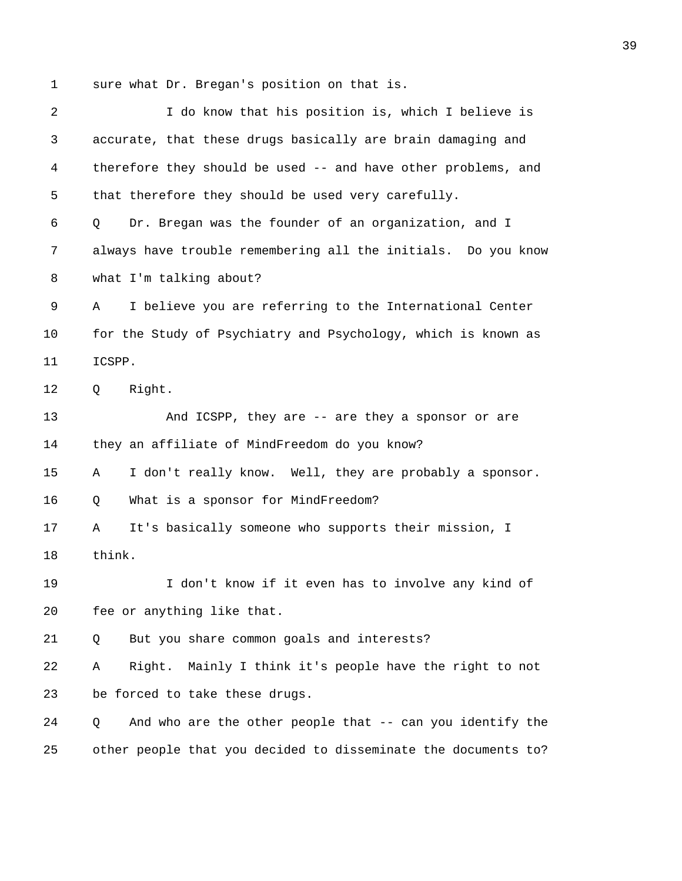1 sure what Dr. Bregan's position on that is.

| 2  | I do know that his position is, which I believe is              |
|----|-----------------------------------------------------------------|
| 3  | accurate, that these drugs basically are brain damaging and     |
| 4  | therefore they should be used -- and have other problems, and   |
| 5  | that therefore they should be used very carefully.              |
| 6  | Dr. Bregan was the founder of an organization, and I<br>Q       |
| 7  | always have trouble remembering all the initials. Do you know   |
| 8  | what I'm talking about?                                         |
| 9  | I believe you are referring to the International Center<br>Α    |
| 10 | for the Study of Psychiatry and Psychology, which is known as   |
| 11 | ICSPP.                                                          |
| 12 | Right.<br>Q                                                     |
| 13 | And ICSPP, they are -- are they a sponsor or are                |
| 14 | they an affiliate of MindFreedom do you know?                   |
| 15 | I don't really know. Well, they are probably a sponsor.<br>Α    |
| 16 | What is a sponsor for MindFreedom?<br>Q                         |
| 17 | It's basically someone who supports their mission, I<br>Α       |
| 18 | think.                                                          |
| 19 | I don't know if it even has to involve any kind of              |
| 20 | fee or anything like that.                                      |
| 21 | But you share common goals and interests?<br>Q                  |
| 22 | Mainly I think it's people have the right to not<br>Right.<br>Α |
| 23 | be forced to take these drugs.                                  |
| 24 | And who are the other people that -- can you identify the<br>Q  |
| 25 | other people that you decided to disseminate the documents to?  |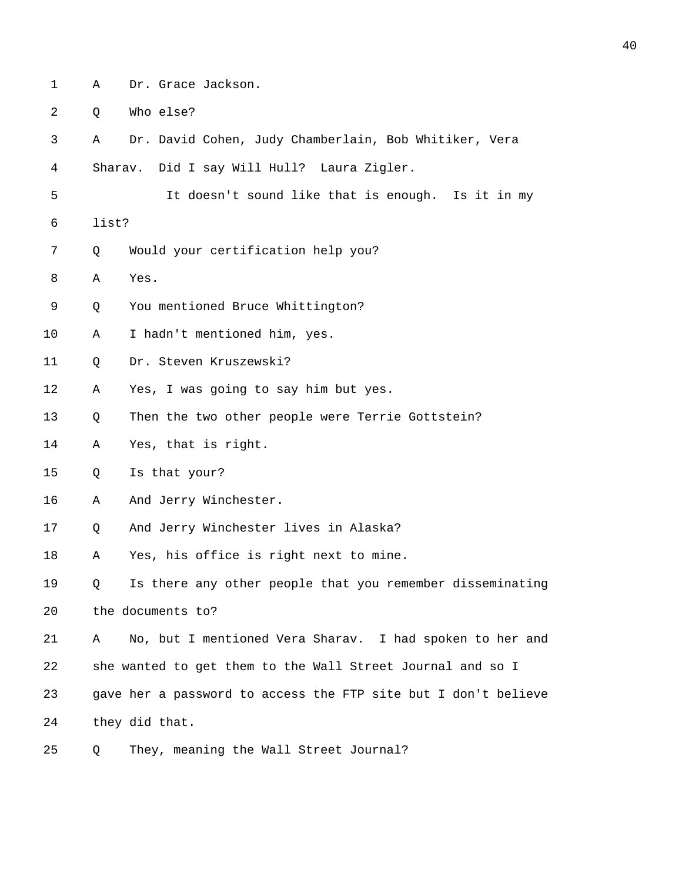- 
- 1 A Dr. Grace Jackson.

2 Q Who else?

3 A Dr. David Cohen, Judy Chamberlain, Bob Whitiker, Vera

4 Sharav. Did I say Will Hull? Laura Zigler.

- 5 It doesn't sound like that is enough. Is it in my
- 6 list?
- 7 Q Would your certification help you?

8 A Yes.

- 9 Q You mentioned Bruce Whittington?
- 10 A I hadn't mentioned him, yes.
- 11 Q Dr. Steven Kruszewski?
- 12 A Yes, I was going to say him but yes.
- 13 Q Then the two other people were Terrie Gottstein?
- 14 A Yes, that is right.
- 15 Q Is that your?
- 16 A And Jerry Winchester.
- 17 Q And Jerry Winchester lives in Alaska?
- 18 A Yes, his office is right next to mine.

19 Q Is there any other people that you remember disseminating 20 the documents to?

21 A No, but I mentioned Vera Sharav. I had spoken to her and 22 she wanted to get them to the Wall Street Journal and so I 23 gave her a password to access the FTP site but I don't believe 24 they did that.

25 Q They, meaning the Wall Street Journal?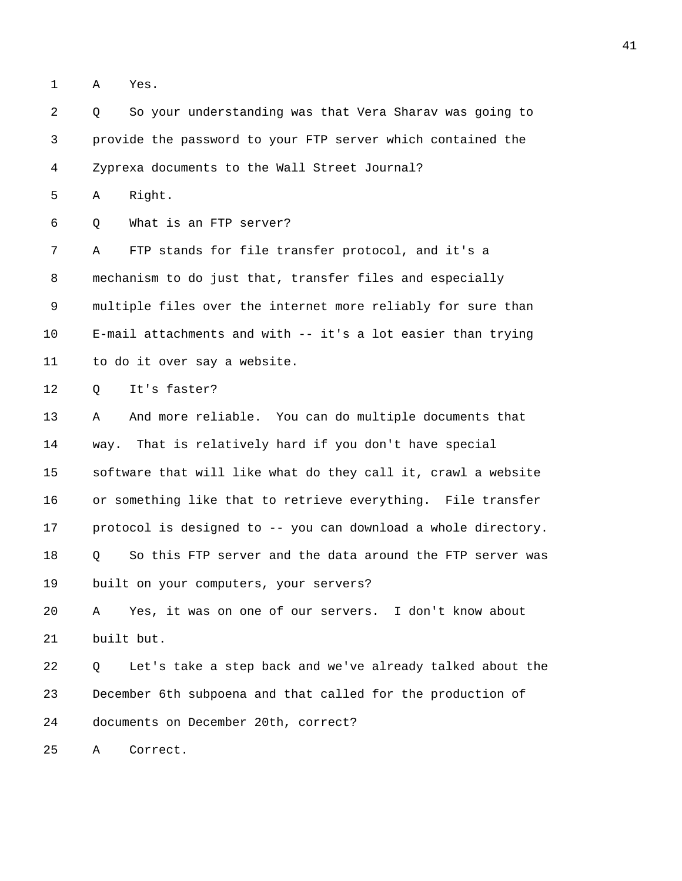1 A Yes.

2 Q So your understanding was that Vera Sharav was going to 3 provide the password to your FTP server which contained the 4 Zyprexa documents to the Wall Street Journal? 5 A Right. 6 Q What is an FTP server? 7 A FTP stands for file transfer protocol, and it's a 8 mechanism to do just that, transfer files and especially 9 multiple files over the internet more reliably for sure than 10 E-mail attachments and with -- it's a lot easier than trying 11 to do it over say a website. 12 0 It's faster? 13 A And more reliable. You can do multiple documents that 14 way. That is relatively hard if you don't have special 15 software that will like what do they call it, crawl a website 16 or something like that to retrieve everything. File transfer 17 protocol is designed to -- you can download a whole directory. 18 Q So this FTP server and the data around the FTP server was 19 built on your computers, your servers? 20 A Yes, it was on one of our servers. I don't know about 21 built but. 22 Q Let's take a step back and we've already talked about the 23 December 6th subpoena and that called for the production of 24 documents on December 20th, correct? 25 A Correct.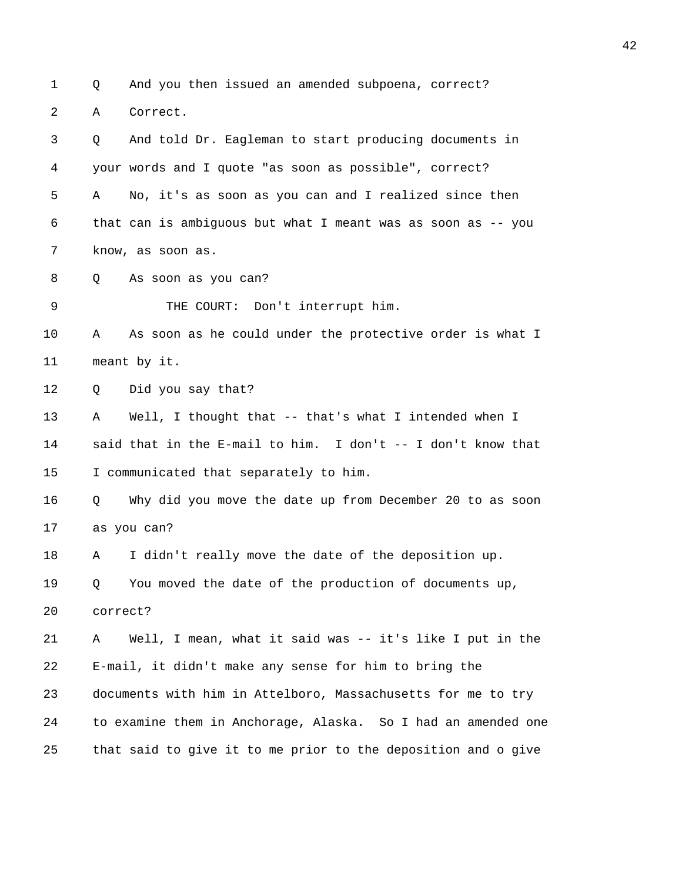1 Q And you then issued an amended subpoena, correct? 2 A Correct. 3 Q And told Dr. Eagleman to start producing documents in 4 your words and I quote "as soon as possible", correct? 5 A No, it's as soon as you can and I realized since then 6 that can is ambiguous but what I meant was as soon as -- you 7 know, as soon as. 8 Q As soon as you can? 9 THE COURT: Don't interrupt him. 10 A As soon as he could under the protective order is what I 11 meant by it. 12 Q Did you say that? 13 A Well, I thought that -- that's what I intended when I 14 said that in the E-mail to him. I don't -- I don't know that 15 I communicated that separately to him. 16 Q Why did you move the date up from December 20 to as soon 17 as you can? 18 A I didn't really move the date of the deposition up. 19 Q You moved the date of the production of documents up, 20 correct? 21 A Well, I mean, what it said was -- it's like I put in the 22 E-mail, it didn't make any sense for him to bring the 23 documents with him in Attelboro, Massachusetts for me to try 24 to examine them in Anchorage, Alaska. So I had an amended one 25 that said to give it to me prior to the deposition and o give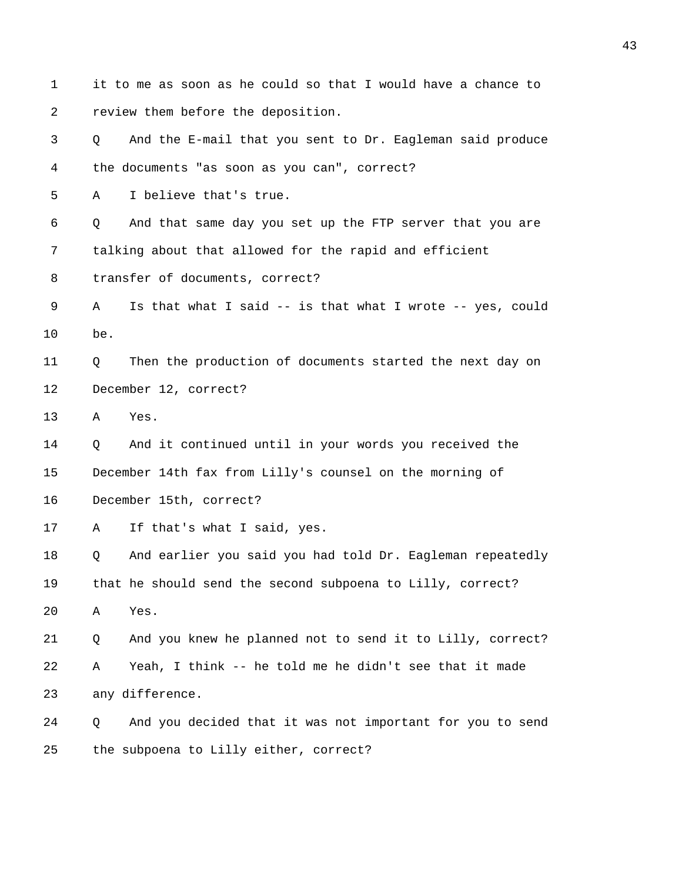1 it to me as soon as he could so that I would have a chance to 2 review them before the deposition. 3 Q And the E-mail that you sent to Dr. Eagleman said produce 4 the documents "as soon as you can", correct? 5 A I believe that's true. 6 Q And that same day you set up the FTP server that you are 7 talking about that allowed for the rapid and efficient 8 transfer of documents, correct? 9 A Is that what I said -- is that what I wrote -- yes, could 10 be. 11 Q Then the production of documents started the next day on 12 December 12, correct? 13 A Yes. 14 Q And it continued until in your words you received the 15 December 14th fax from Lilly's counsel on the morning of 16 December 15th, correct? 17 A If that's what I said, yes. 18 Q And earlier you said you had told Dr. Eagleman repeatedly 19 that he should send the second subpoena to Lilly, correct? 20 A Yes. 21 Q And you knew he planned not to send it to Lilly, correct? 22 A Yeah, I think -- he told me he didn't see that it made 23 any difference. 24 Q And you decided that it was not important for you to send 25 the subpoena to Lilly either, correct?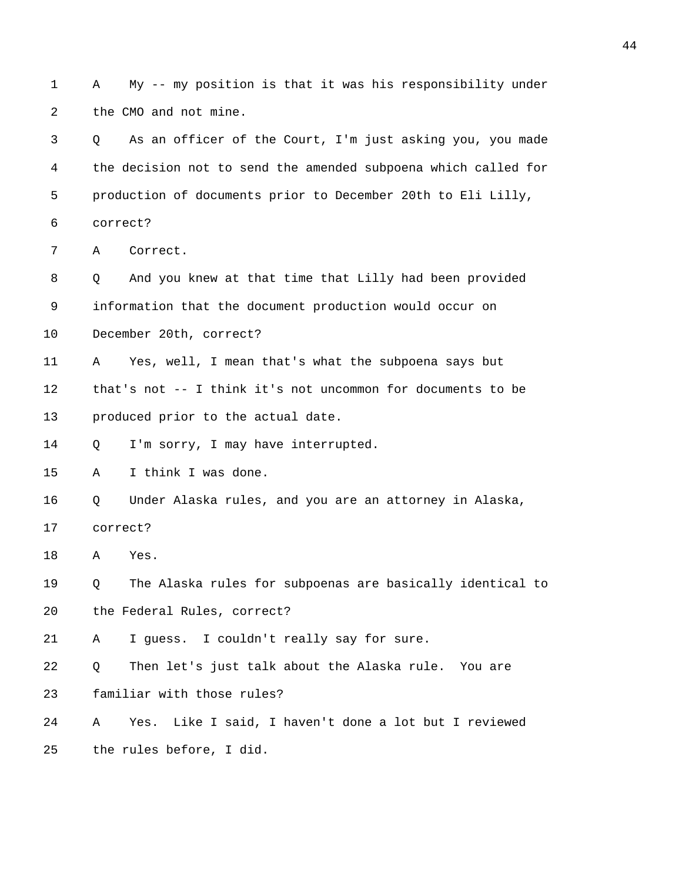1 A My -- my position is that it was his responsibility under 2 the CMO and not mine. 3 Q As an officer of the Court, I'm just asking you, you made

4 the decision not to send the amended subpoena which called for 5 production of documents prior to December 20th to Eli Lilly,

6 correct?

7 A Correct.

8 Q And you knew at that time that Lilly had been provided 9 information that the document production would occur on 10 December 20th, correct?

11 A Yes, well, I mean that's what the subpoena says but 12 that's not -- I think it's not uncommon for documents to be 13 produced prior to the actual date.

14 Q I'm sorry, I may have interrupted.

15 A I think I was done.

16 Q Under Alaska rules, and you are an attorney in Alaska,

17 correct?

18 A Yes.

19 Q The Alaska rules for subpoenas are basically identical to 20 the Federal Rules, correct?

21 A I guess. I couldn't really say for sure.

22 Q Then let's just talk about the Alaska rule. You are 23 familiar with those rules?

24 A Yes. Like I said, I haven't done a lot but I reviewed 25 the rules before, I did.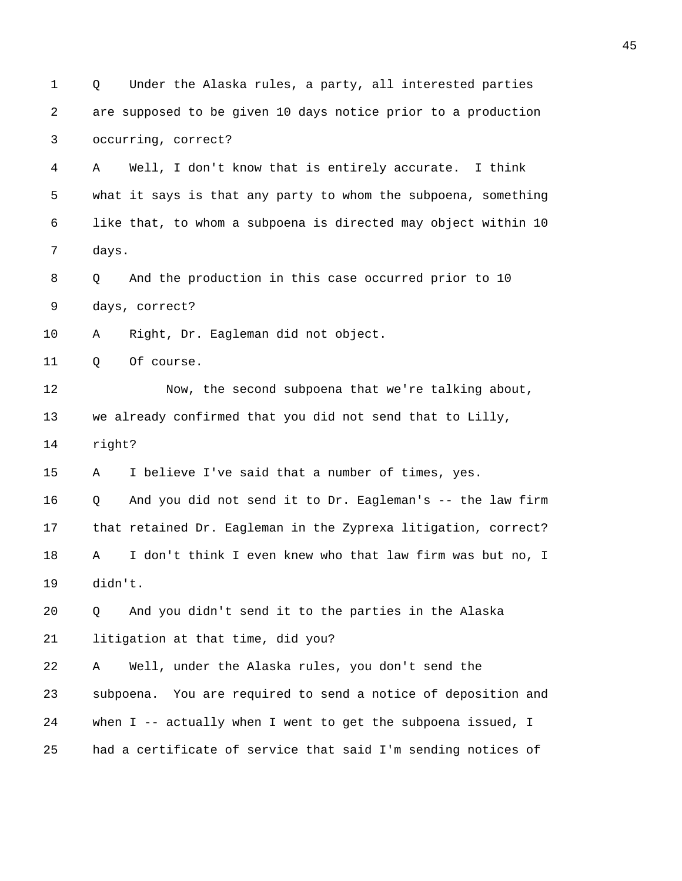1 Q Under the Alaska rules, a party, all interested parties 2 are supposed to be given 10 days notice prior to a production 3 occurring, correct? 4 A Well, I don't know that is entirely accurate. I think 5 what it says is that any party to whom the subpoena, something 6 like that, to whom a subpoena is directed may object within 10 7 days. 8 O And the production in this case occurred prior to 10 9 days, correct? 10 A Right, Dr. Eagleman did not object. 11 0 Of course. 12 Now, the second subpoena that we're talking about, 13 we already confirmed that you did not send that to Lilly, 14 right? 15 A I believe I've said that a number of times, yes. 16 Q And you did not send it to Dr. Eagleman's -- the law firm 17 that retained Dr. Eagleman in the Zyprexa litigation, correct? 18 A I don't think I even knew who that law firm was but no, I 19 didn't. 20 Q And you didn't send it to the parties in the Alaska 21 litigation at that time, did you? 22 A Well, under the Alaska rules, you don't send the 23 subpoena. You are required to send a notice of deposition and 24 when I -- actually when I went to get the subpoena issued, I 25 had a certificate of service that said I'm sending notices of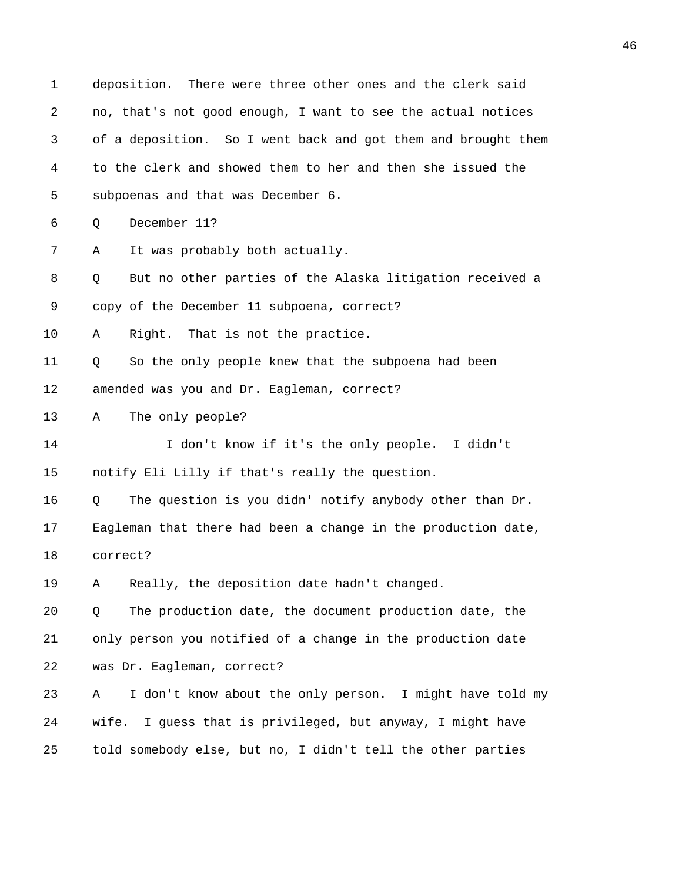1 deposition. There were three other ones and the clerk said 2 no, that's not good enough, I want to see the actual notices 3 of a deposition. So I went back and got them and brought them 4 to the clerk and showed them to her and then she issued the 5 subpoenas and that was December 6. 6 Q December 11? 7 A It was probably both actually. 8 Q But no other parties of the Alaska litigation received a 9 copy of the December 11 subpoena, correct? 10 A Right. That is not the practice. 11 Q So the only people knew that the subpoena had been 12 amended was you and Dr. Eagleman, correct? 13 A The only people? 14 I don't know if it's the only people. I didn't 15 notify Eli Lilly if that's really the question. 16 Q The question is you didn' notify anybody other than Dr. 17 Eagleman that there had been a change in the production date, 18 correct? 19 A Really, the deposition date hadn't changed. 20 Q The production date, the document production date, the 21 only person you notified of a change in the production date 22 was Dr. Eagleman, correct? 23 A I don't know about the only person. I might have told my 24 wife. I guess that is privileged, but anyway, I might have 25 told somebody else, but no, I didn't tell the other parties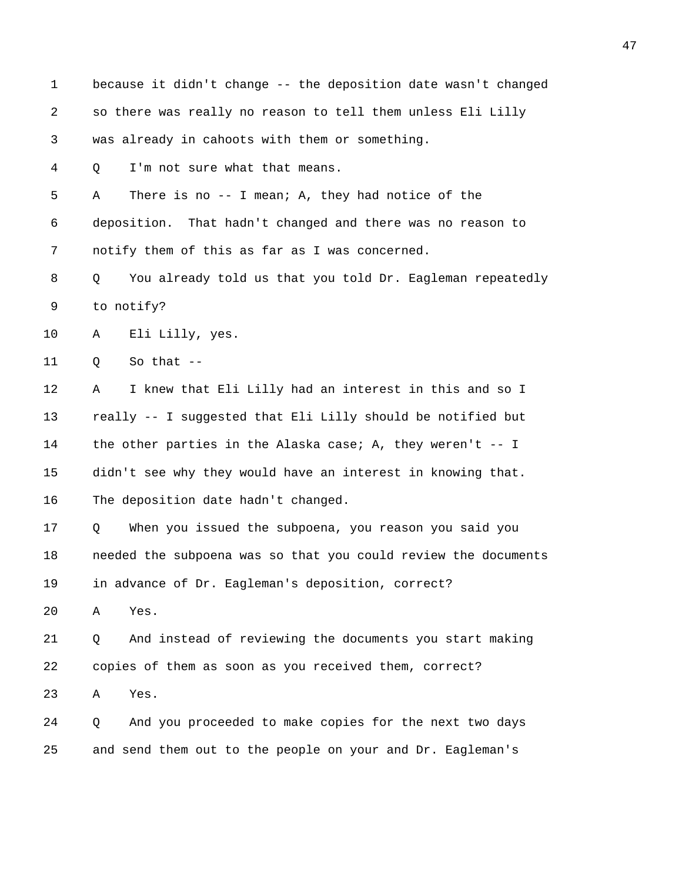| 1  | because it didn't change -- the deposition date wasn't changed |
|----|----------------------------------------------------------------|
| 2  | so there was really no reason to tell them unless Eli Lilly    |
| 3  | was already in cahoots with them or something.                 |
| 4  | I'm not sure what that means.<br>Q                             |
| 5  | There is no -- I mean; A, they had notice of the<br>Α          |
| 6  | deposition. That hadn't changed and there was no reason to     |
| 7  | notify them of this as far as I was concerned.                 |
| 8  | You already told us that you told Dr. Eagleman repeatedly<br>Q |
| 9  | to notify?                                                     |
| 10 | Eli Lilly, yes.<br>Α                                           |
| 11 | So that $--$<br>Q                                              |
| 12 | I knew that Eli Lilly had an interest in this and so I<br>Α    |
| 13 | really -- I suggested that Eli Lilly should be notified but    |
| 14 | the other parties in the Alaska case; A, they weren't $-$ - I  |
| 15 | didn't see why they would have an interest in knowing that.    |
| 16 | The deposition date hadn't changed.                            |
| 17 | When you issued the subpoena, you reason you said you<br>Q     |
| 18 | needed the subpoena was so that you could review the documents |
| 19 | in advance of Dr. Eagleman's deposition, correct?              |
| 20 | Yes.<br>Α                                                      |
| 21 | And instead of reviewing the documents you start making<br>Q   |
| 22 | copies of them as soon as you received them, correct?          |
| 23 | Yes.<br>Α                                                      |
| 24 | And you proceeded to make copies for the next two days<br>Q    |
| 25 | and send them out to the people on your and Dr. Eagleman's     |
|    |                                                                |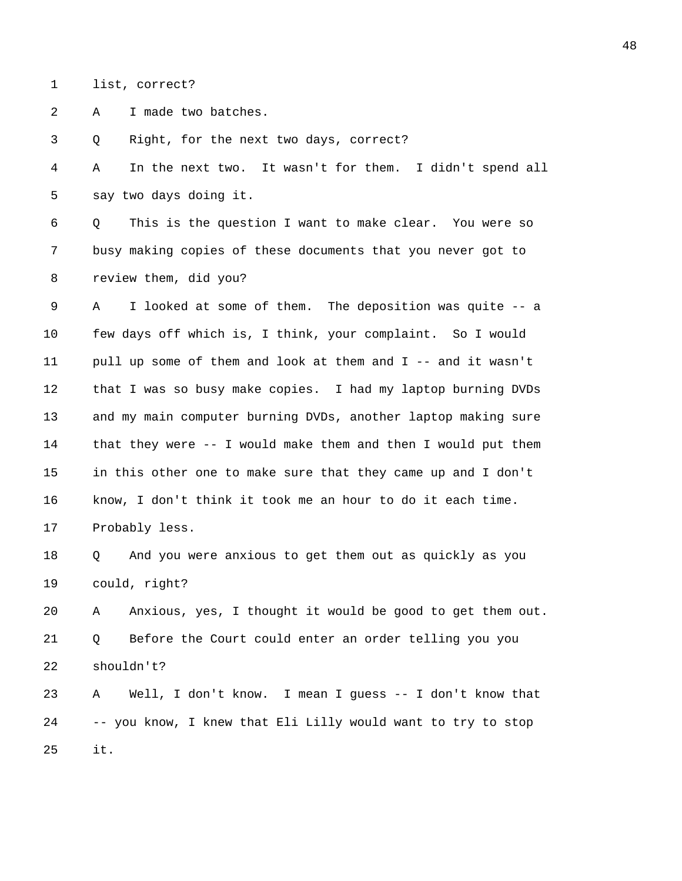1 list, correct?

2 A I made two batches.

3 Q Right, for the next two days, correct?

4 A In the next two. It wasn't for them. I didn't spend all 5 say two days doing it.

6 Q This is the question I want to make clear. You were so 7 busy making copies of these documents that you never got to 8 review them, did you?

9 A I looked at some of them. The deposition was quite -- a 10 few days off which is, I think, your complaint. So I would 11 pull up some of them and look at them and I -- and it wasn't 12 that I was so busy make copies. I had my laptop burning DVDs 13 and my main computer burning DVDs, another laptop making sure 14 that they were -- I would make them and then I would put them 15 in this other one to make sure that they came up and I don't 16 know, I don't think it took me an hour to do it each time. 17 Probably less.

18 Q And you were anxious to get them out as quickly as you 19 could, right?

20 A Anxious, yes, I thought it would be good to get them out. 21 Q Before the Court could enter an order telling you you 22 shouldn't?

23 A Well, I don't know. I mean I guess -- I don't know that 24 -- you know, I knew that Eli Lilly would want to try to stop 25 it.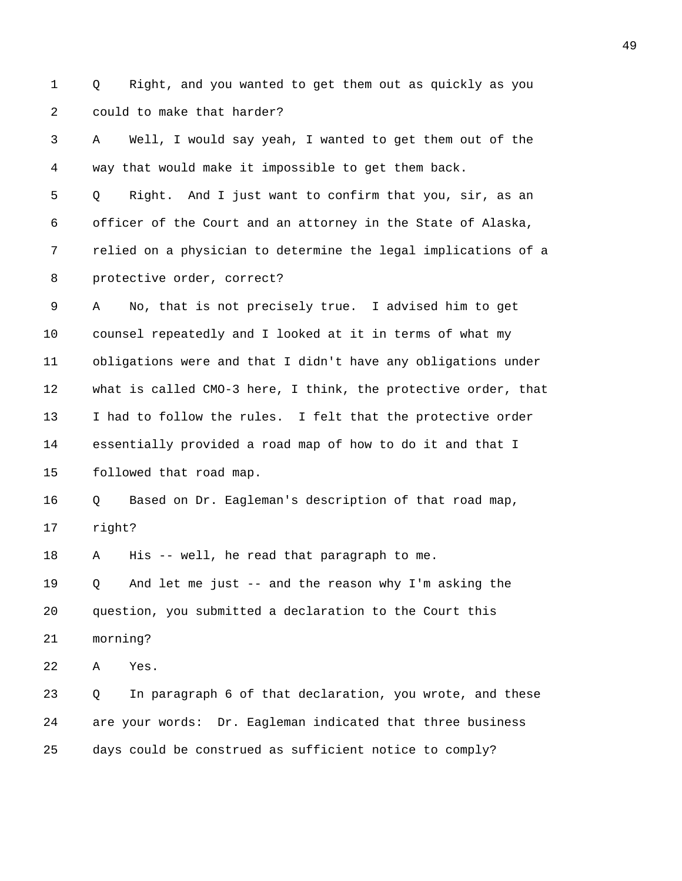1 Q Right, and you wanted to get them out as quickly as you 2 could to make that harder?

3 A Well, I would say yeah, I wanted to get them out of the 4 way that would make it impossible to get them back.

5 Q Right. And I just want to confirm that you, sir, as an 6 officer of the Court and an attorney in the State of Alaska, 7 relied on a physician to determine the legal implications of a 8 protective order, correct?

9 A No, that is not precisely true. I advised him to get 10 counsel repeatedly and I looked at it in terms of what my 11 obligations were and that I didn't have any obligations under 12 what is called CMO-3 here, I think, the protective order, that 13 I had to follow the rules. I felt that the protective order 14 essentially provided a road map of how to do it and that I 15 followed that road map.

16 Q Based on Dr. Eagleman's description of that road map, 17 right?

18 A His -- well, he read that paragraph to me.

19 Q And let me just -- and the reason why I'm asking the 20 question, you submitted a declaration to the Court this 21 morning?

22 A Yes.

23 Q In paragraph 6 of that declaration, you wrote, and these 24 are your words: Dr. Eagleman indicated that three business 25 days could be construed as sufficient notice to comply?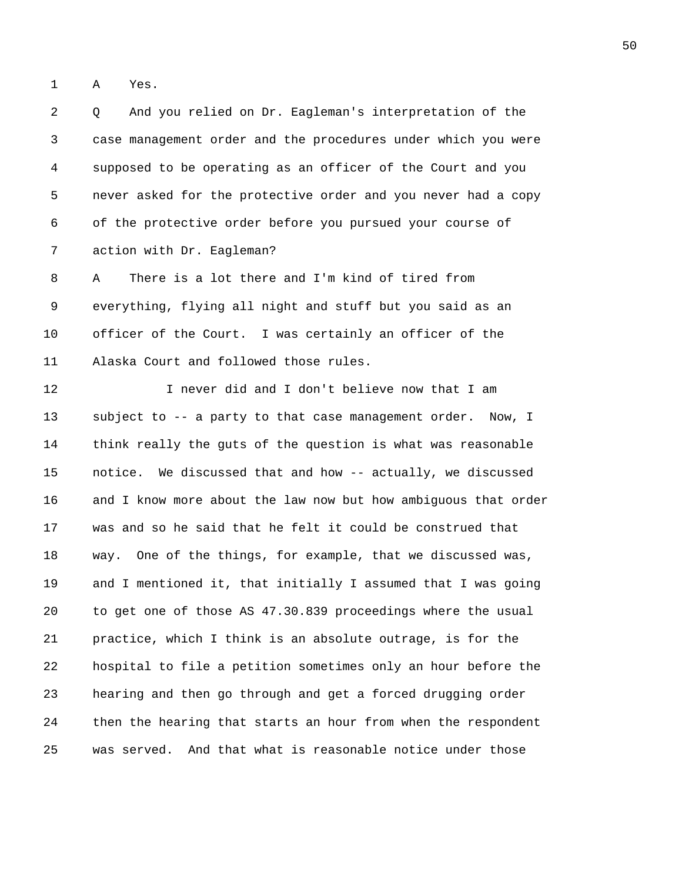1 A Yes.

2 Q And you relied on Dr. Eagleman's interpretation of the 3 case management order and the procedures under which you were 4 supposed to be operating as an officer of the Court and you 5 never asked for the protective order and you never had a copy 6 of the protective order before you pursued your course of 7 action with Dr. Eagleman?

8 A There is a lot there and I'm kind of tired from 9 everything, flying all night and stuff but you said as an 10 officer of the Court. I was certainly an officer of the 11 Alaska Court and followed those rules.

12 I never did and I don't believe now that I am 13 subject to -- a party to that case management order. Now, I 14 think really the guts of the question is what was reasonable 15 notice. We discussed that and how -- actually, we discussed 16 and I know more about the law now but how ambiguous that order 17 was and so he said that he felt it could be construed that 18 way. One of the things, for example, that we discussed was, 19 and I mentioned it, that initially I assumed that I was going 20 to get one of those AS 47.30.839 proceedings where the usual 21 practice, which I think is an absolute outrage, is for the 22 hospital to file a petition sometimes only an hour before the 23 hearing and then go through and get a forced drugging order 24 then the hearing that starts an hour from when the respondent 25 was served. And that what is reasonable notice under those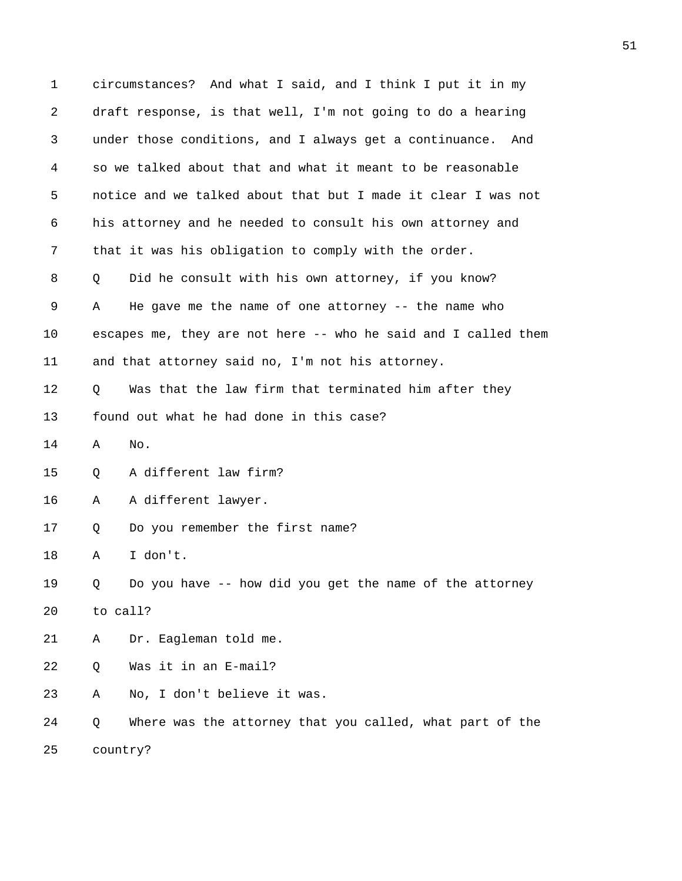1 circumstances? And what I said, and I think I put it in my 2 draft response, is that well, I'm not going to do a hearing 3 under those conditions, and I always get a continuance. And 4 so we talked about that and what it meant to be reasonable 5 notice and we talked about that but I made it clear I was not 6 his attorney and he needed to consult his own attorney and 7 that it was his obligation to comply with the order. 8 Q Did he consult with his own attorney, if you know? 9 A He gave me the name of one attorney -- the name who 10 escapes me, they are not here -- who he said and I called them 11 and that attorney said no, I'm not his attorney. 12 Q Was that the law firm that terminated him after they 13 found out what he had done in this case? 14 A No. 15 Q A different law firm? 16 A A different lawyer. 17 Q Do you remember the first name? 18 A I don't. 19 Q Do you have -- how did you get the name of the attorney 20 to call? 21 A Dr. Eagleman told me. 22 Q Was it in an E-mail? 23 A No, I don't believe it was. 24 Q Where was the attorney that you called, what part of the 25 country?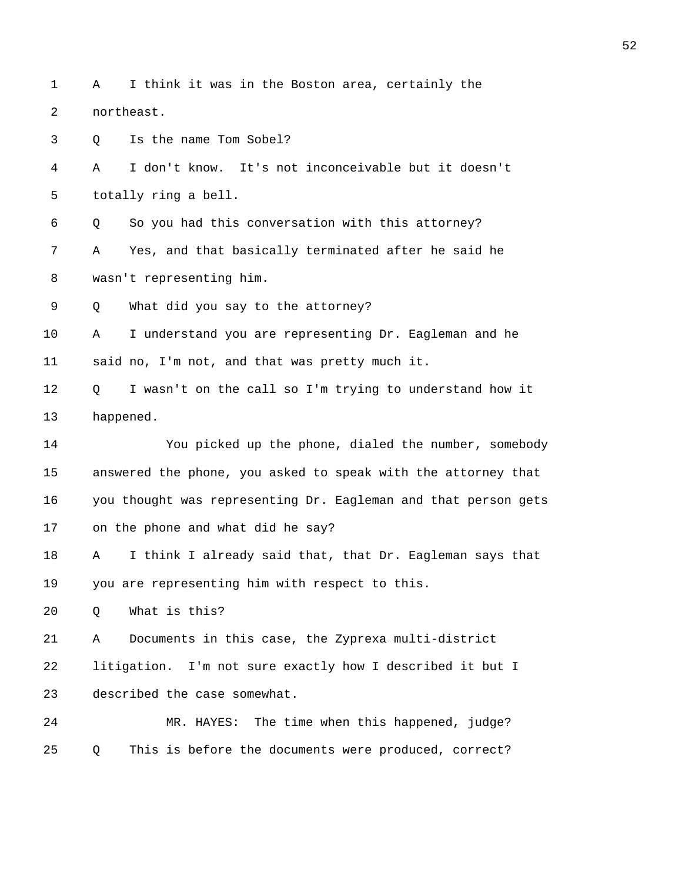|              |  |  |  |  | 1 A I think it was in the Boston area, certainly the |  |
|--------------|--|--|--|--|------------------------------------------------------|--|
| 2 northeast. |  |  |  |  |                                                      |  |

3 Q Is the name Tom Sobel?

4 A I don't know. It's not inconceivable but it doesn't 5 totally ring a bell.

6 Q So you had this conversation with this attorney? 7 A Yes, and that basically terminated after he said he

8 wasn't representing him.

9 Q What did you say to the attorney?

10 A I understand you are representing Dr. Eagleman and he 11 said no, I'm not, and that was pretty much it.

12 Q I wasn't on the call so I'm trying to understand how it 13 happened.

14 You picked up the phone, dialed the number, somebody 15 answered the phone, you asked to speak with the attorney that 16 you thought was representing Dr. Eagleman and that person gets 17 on the phone and what did he say?

18 A I think I already said that, that Dr. Eagleman says that 19 you are representing him with respect to this.

20 Q What is this?

21 A Documents in this case, the Zyprexa multi-district 22 litigation. I'm not sure exactly how I described it but I 23 described the case somewhat.

24 MR. HAYES: The time when this happened, judge? 25 Q This is before the documents were produced, correct?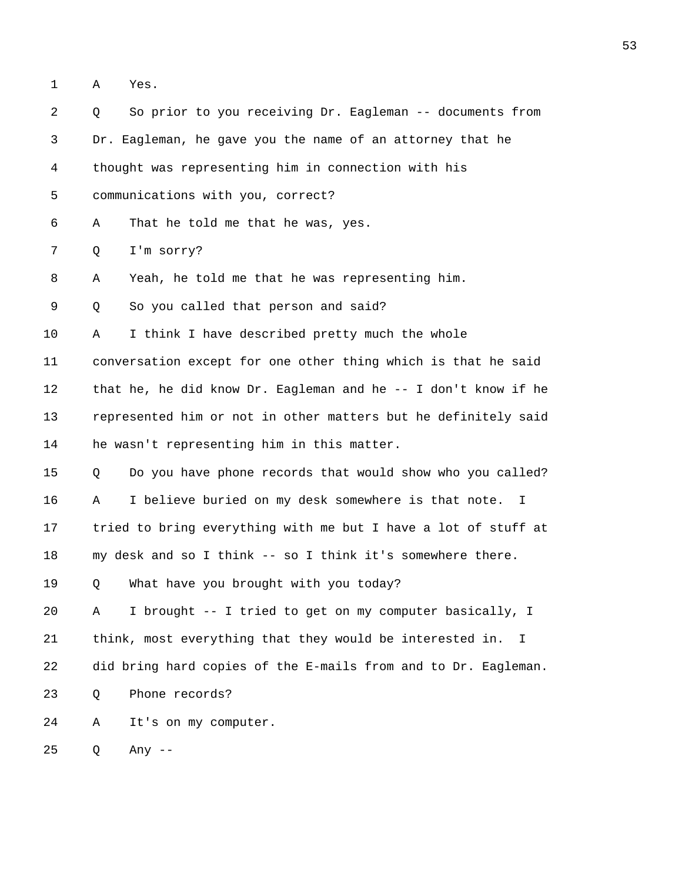1 A Yes.

2 Q So prior to you receiving Dr. Eagleman -- documents from 3 Dr. Eagleman, he gave you the name of an attorney that he 4 thought was representing him in connection with his 5 communications with you, correct? 6 A That he told me that he was, yes. 7 Q I'm sorry? 8 A Yeah, he told me that he was representing him. 9 Q So you called that person and said? 10 A I think I have described pretty much the whole 11 conversation except for one other thing which is that he said 12 that he, he did know Dr. Eagleman and he -- I don't know if he 13 represented him or not in other matters but he definitely said 14 he wasn't representing him in this matter. 15 Q Do you have phone records that would show who you called? 16 A I believe buried on my desk somewhere is that note. I 17 tried to bring everything with me but I have a lot of stuff at 18 my desk and so I think -- so I think it's somewhere there. 19 Q What have you brought with you today? 20 A I brought -- I tried to get on my computer basically, I 21 think, most everything that they would be interested in. I 22 did bring hard copies of the E-mails from and to Dr. Eagleman. 23 Q Phone records? 24 A It's on my computer. 25 Q Any --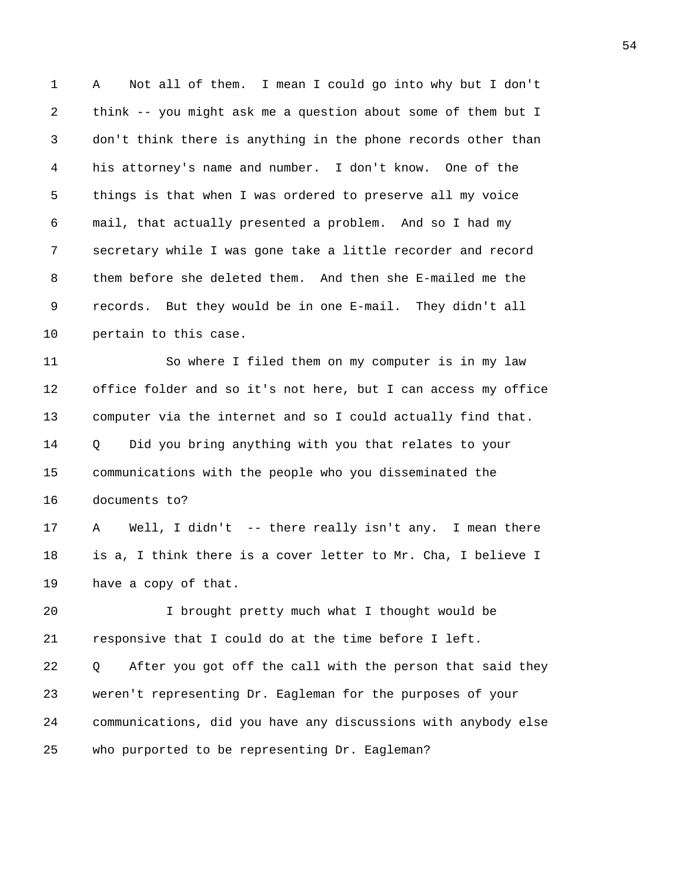1 A Not all of them. I mean I could go into why but I don't 2 think -- you might ask me a question about some of them but I 3 don't think there is anything in the phone records other than 4 his attorney's name and number. I don't know. One of the 5 things is that when I was ordered to preserve all my voice 6 mail, that actually presented a problem. And so I had my 7 secretary while I was gone take a little recorder and record 8 them before she deleted them. And then she E-mailed me the 9 records. But they would be in one E-mail. They didn't all 10 pertain to this case.

11 So where I filed them on my computer is in my law 12 office folder and so it's not here, but I can access my office 13 computer via the internet and so I could actually find that. 14 Q Did you bring anything with you that relates to your 15 communications with the people who you disseminated the 16 documents to?

17 A Well, I didn't -- there really isn't any. I mean there 18 is a, I think there is a cover letter to Mr. Cha, I believe I 19 have a copy of that.

20 I brought pretty much what I thought would be 21 responsive that I could do at the time before I left.

22 Q After you got off the call with the person that said they 23 weren't representing Dr. Eagleman for the purposes of your 24 communications, did you have any discussions with anybody else 25 who purported to be representing Dr. Eagleman?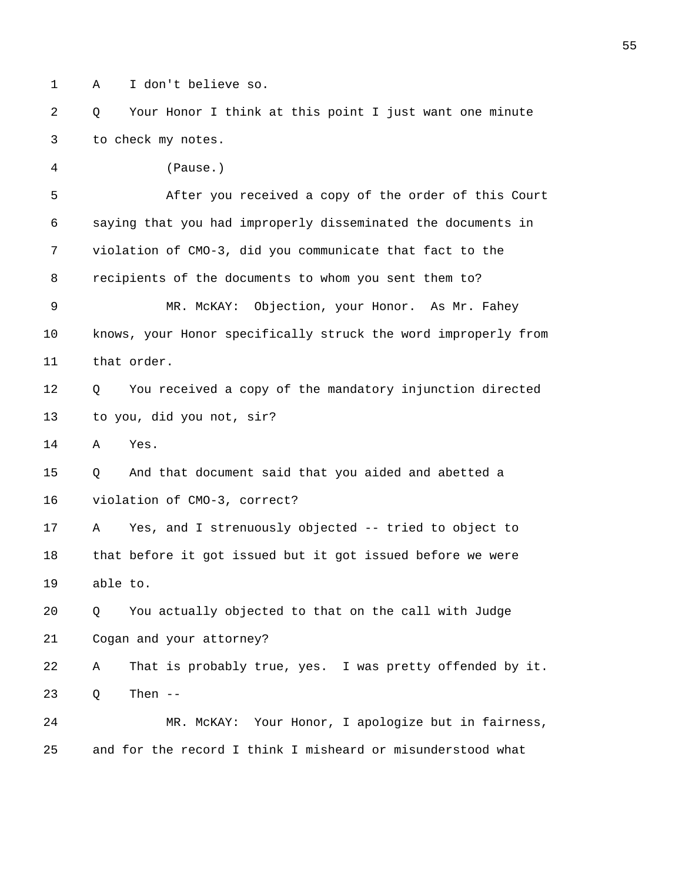1 A I don't believe so.

4 (Pause.)

2 Q Your Honor I think at this point I just want one minute 3 to check my notes.

5 After you received a copy of the order of this Court 6 saying that you had improperly disseminated the documents in 7 violation of CMO-3, did you communicate that fact to the 8 recipients of the documents to whom you sent them to? 9 MR. McKAY: Objection, your Honor. As Mr. Fahey 10 knows, your Honor specifically struck the word improperly from 11 that order. 12 Q You received a copy of the mandatory injunction directed 13 to you, did you not, sir? 14 A Yes. 15 Q And that document said that you aided and abetted a 16 violation of CMO-3, correct? 17 A Yes, and I strenuously objected -- tried to object to 18 that before it got issued but it got issued before we were 19 able to. 20 Q You actually objected to that on the call with Judge 21 Cogan and your attorney? 22 A That is probably true, yes. I was pretty offended by it. 23 Q Then -- 24 MR. McKAY: Your Honor, I apologize but in fairness, 25 and for the record I think I misheard or misunderstood what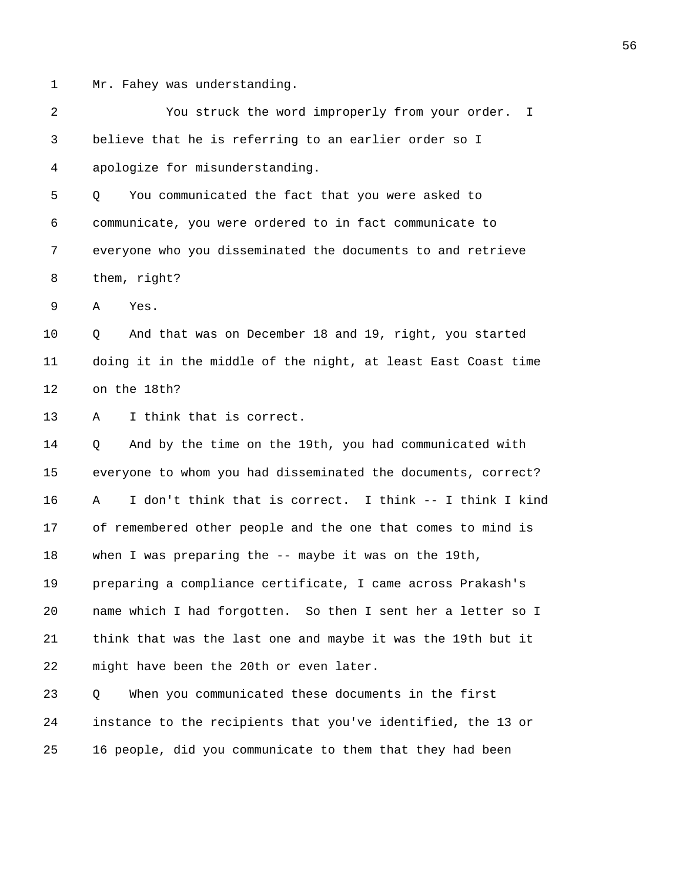1 Mr. Fahey was understanding.

2 You struck the word improperly from your order. I 3 believe that he is referring to an earlier order so I 4 apologize for misunderstanding. 5 Q You communicated the fact that you were asked to 6 communicate, you were ordered to in fact communicate to 7 everyone who you disseminated the documents to and retrieve 8 them, right? 9 A Yes. 10 Q And that was on December 18 and 19, right, you started 11 doing it in the middle of the night, at least East Coast time 12 on the 18th? 13 A I think that is correct. 14 Q And by the time on the 19th, you had communicated with 15 everyone to whom you had disseminated the documents, correct? 16 A I don't think that is correct. I think -- I think I kind 17 of remembered other people and the one that comes to mind is 18 when I was preparing the -- maybe it was on the 19th, 19 preparing a compliance certificate, I came across Prakash's 20 name which I had forgotten. So then I sent her a letter so I 21 think that was the last one and maybe it was the 19th but it 22 might have been the 20th or even later. 23 Q When you communicated these documents in the first 24 instance to the recipients that you've identified, the 13 or 25 16 people, did you communicate to them that they had been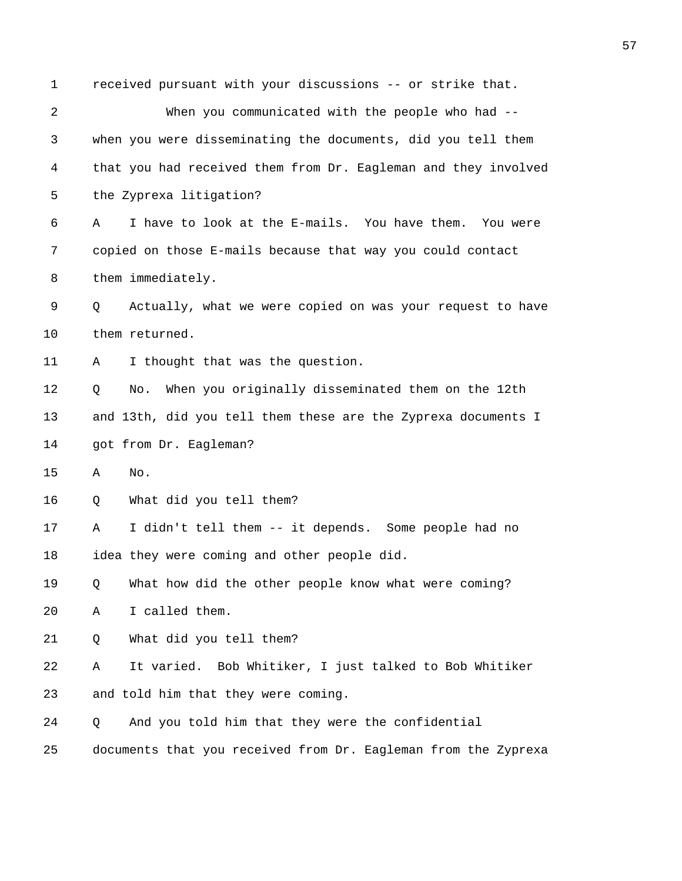| 1  | received pursuant with your discussions -- or strike that.     |
|----|----------------------------------------------------------------|
| 2  | When you communicated with the people who had --               |
| 3  | when you were disseminating the documents, did you tell them   |
| 4  | that you had received them from Dr. Eagleman and they involved |
| 5  | the Zyprexa litigation?                                        |
| 6  | I have to look at the E-mails. You have them.<br>You were<br>Α |
| 7  | copied on those E-mails because that way you could contact     |
| 8  | them immediately.                                              |
| 9  | Actually, what we were copied on was your request to have<br>Q |
| 10 | them returned.                                                 |
| 11 | I thought that was the question.<br>Α                          |
| 12 | When you originally disseminated them on the 12th<br>Q<br>No.  |
| 13 | and 13th, did you tell them these are the Zyprexa documents I  |
| 14 | got from Dr. Eagleman?                                         |
| 15 | No.<br>Α                                                       |
| 16 | What did you tell them?<br>Q                                   |
| 17 | I didn't tell them -- it depends. Some people had no<br>Α      |
| 18 | idea they were coming and other people did.                    |
| 19 | What how did the other people know what were coming?<br>Q      |
| 20 | I called them.<br>Α                                            |
| 21 | What did you tell them?<br>Q                                   |
| 22 | It varied. Bob Whitiker, I just talked to Bob Whitiker<br>Α    |
| 23 | and told him that they were coming.                            |
| 24 | And you told him that they were the confidential<br>Q          |
| 25 | documents that you received from Dr. Eagleman from the Zyprexa |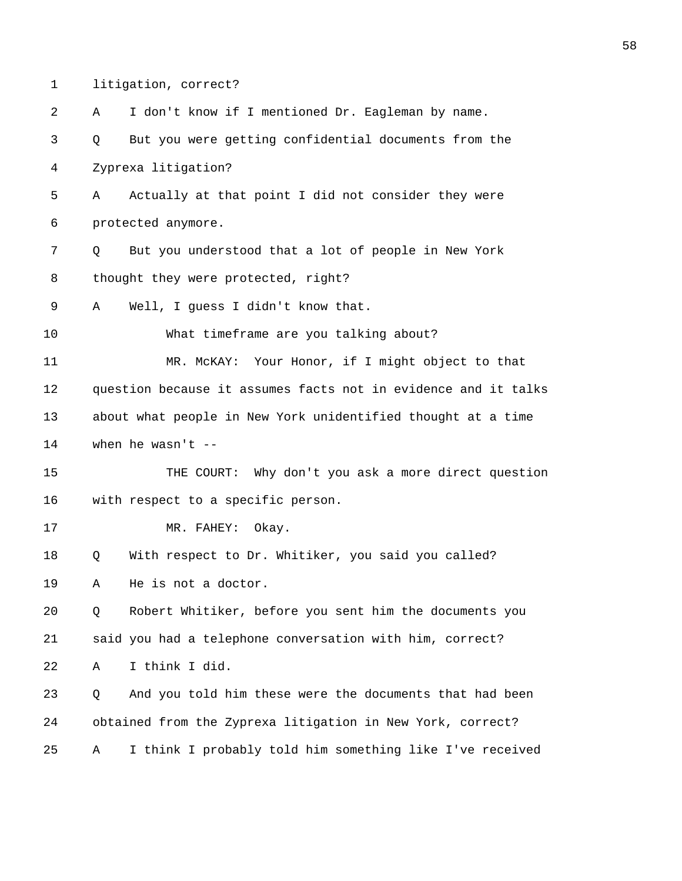1 litigation, correct?

| 2  | I don't know if I mentioned Dr. Eagleman by name.<br>Α         |  |  |
|----|----------------------------------------------------------------|--|--|
| 3  | But you were getting confidential documents from the<br>Q      |  |  |
| 4  | Zyprexa litigation?                                            |  |  |
| 5  | Actually at that point I did not consider they were<br>Α       |  |  |
| 6  | protected anymore.                                             |  |  |
| 7  | But you understood that a lot of people in New York<br>Q       |  |  |
| 8  | thought they were protected, right?                            |  |  |
| 9  | Well, I guess I didn't know that.<br>Α                         |  |  |
| 10 | What timeframe are you talking about?                          |  |  |
| 11 | Your Honor, if I might object to that<br>MR. MCKAY:            |  |  |
| 12 | question because it assumes facts not in evidence and it talks |  |  |
| 13 | about what people in New York unidentified thought at a time   |  |  |
| 14 | when he wasn't $-$                                             |  |  |
| 15 | THE COURT: Why don't you ask a more direct question            |  |  |
| 16 | with respect to a specific person.                             |  |  |
| 17 | Okay.<br>MR. FAHEY:                                            |  |  |
| 18 | With respect to Dr. Whitiker, you said you called?<br>Q        |  |  |
| 19 | He is not a doctor.<br>Α                                       |  |  |
| 20 | Robert Whitiker, before you sent him the documents you<br>Q    |  |  |
| 21 | said you had a telephone conversation with him, correct?       |  |  |
| 22 | I think I did.<br>Α                                            |  |  |
| 23 | And you told him these were the documents that had been<br>Q   |  |  |
| 24 | obtained from the Zyprexa litigation in New York, correct?     |  |  |
| 25 | I think I probably told him something like I've received<br>Α  |  |  |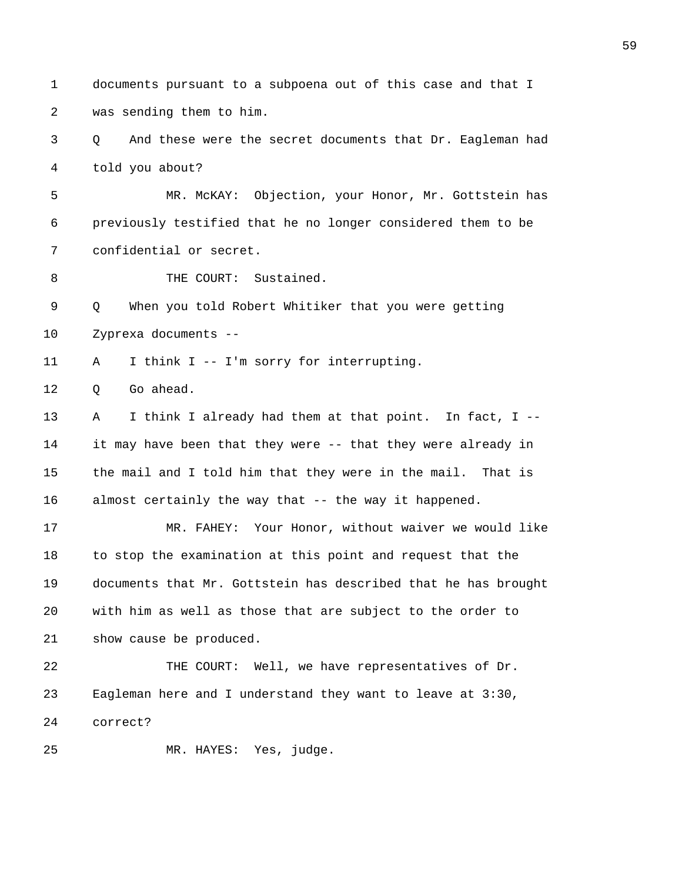1 documents pursuant to a subpoena out of this case and that I 2 was sending them to him. 3 Q And these were the secret documents that Dr. Eagleman had 4 told you about? 5 MR. McKAY: Objection, your Honor, Mr. Gottstein has 6 previously testified that he no longer considered them to be 7 confidential or secret. 8 THE COURT: Sustained. 9 Q When you told Robert Whitiker that you were getting 10 Zyprexa documents -- 11 A I think I -- I'm sorry for interrupting. 12 O Go ahead. 13 A I think I already had them at that point. In fact, I -- 14 it may have been that they were -- that they were already in 15 the mail and I told him that they were in the mail. That is 16 almost certainly the way that -- the way it happened. 17 MR. FAHEY: Your Honor, without waiver we would like 18 to stop the examination at this point and request that the 19 documents that Mr. Gottstein has described that he has brought 20 with him as well as those that are subject to the order to 21 show cause be produced. 22 THE COURT: Well, we have representatives of Dr. 23 Eagleman here and I understand they want to leave at 3:30, 24 correct? 25 MR. HAYES: Yes, judge.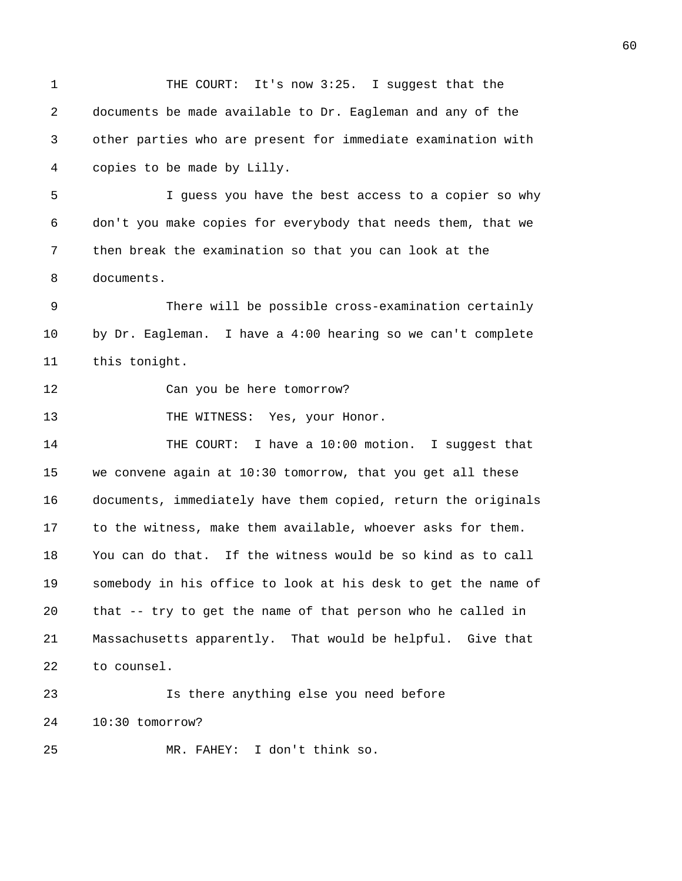1 THE COURT: It's now 3:25. I suggest that the 2 documents be made available to Dr. Eagleman and any of the 3 other parties who are present for immediate examination with 4 copies to be made by Lilly. 5 I guess you have the best access to a copier so why 6 don't you make copies for everybody that needs them, that we 7 then break the examination so that you can look at the 8 documents. 9 There will be possible cross-examination certainly 10 by Dr. Eagleman. I have a 4:00 hearing so we can't complete 11 this tonight. 12 Can you be here tomorrow? 13 THE WITNESS: Yes, your Honor. 14 THE COURT: I have a 10:00 motion. I suggest that 15 we convene again at 10:30 tomorrow, that you get all these 16 documents, immediately have them copied, return the originals 17 to the witness, make them available, whoever asks for them. 18 You can do that. If the witness would be so kind as to call 19 somebody in his office to look at his desk to get the name of 20 that -- try to get the name of that person who he called in 21 Massachusetts apparently. That would be helpful. Give that 22 to counsel. 23 Is there anything else you need before 24 10:30 tomorrow? 25 MR. FAHEY: I don't think so.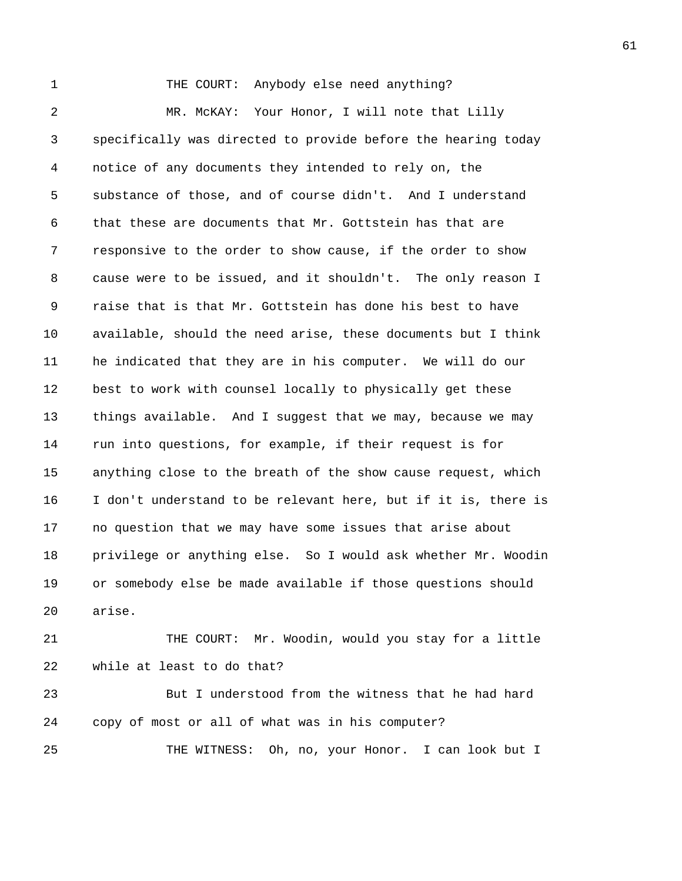1 THE COURT: Anybody else need anything? 2 MR. McKAY: Your Honor, I will note that Lilly 3 specifically was directed to provide before the hearing today 4 notice of any documents they intended to rely on, the 5 substance of those, and of course didn't. And I understand 6 that these are documents that Mr. Gottstein has that are 7 responsive to the order to show cause, if the order to show 8 cause were to be issued, and it shouldn't. The only reason I 9 raise that is that Mr. Gottstein has done his best to have 10 available, should the need arise, these documents but I think 11 he indicated that they are in his computer. We will do our 12 best to work with counsel locally to physically get these 13 things available. And I suggest that we may, because we may 14 run into questions, for example, if their request is for 15 anything close to the breath of the show cause request, which 16 I don't understand to be relevant here, but if it is, there is 17 no question that we may have some issues that arise about 18 privilege or anything else. So I would ask whether Mr. Woodin 19 or somebody else be made available if those questions should 20 arise. 21 THE COURT: Mr. Woodin, would you stay for a little

22 while at least to do that?

23 But I understood from the witness that he had hard 24 copy of most or all of what was in his computer? 25 THE WITNESS: Oh, no, your Honor. I can look but I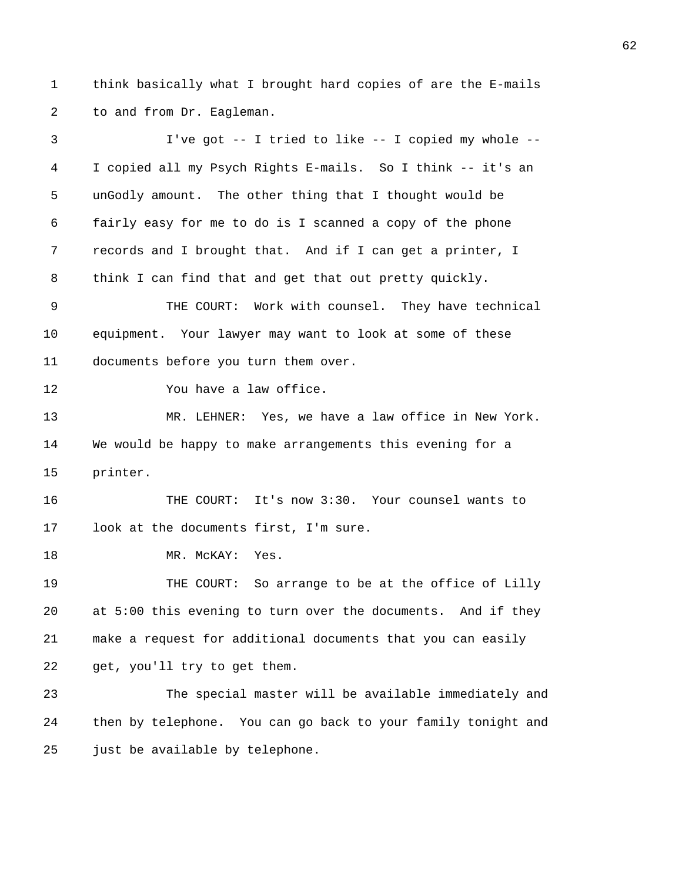1 think basically what I brought hard copies of are the E-mails 2 to and from Dr. Eagleman.

3 I've got -- I tried to like -- I copied my whole -- 4 I copied all my Psych Rights E-mails. So I think -- it's an 5 unGodly amount. The other thing that I thought would be 6 fairly easy for me to do is I scanned a copy of the phone 7 records and I brought that. And if I can get a printer, I 8 think I can find that and get that out pretty quickly. 9 THE COURT: Work with counsel. They have technical 10 equipment. Your lawyer may want to look at some of these 11 documents before you turn them over. 12 You have a law office. 13 MR. LEHNER: Yes, we have a law office in New York. 14 We would be happy to make arrangements this evening for a 15 printer. 16 THE COURT: It's now 3:30. Your counsel wants to 17 look at the documents first, I'm sure. 18 MR. McKAY: Yes. 19 THE COURT: So arrange to be at the office of Lilly 20 at 5:00 this evening to turn over the documents. And if they 21 make a request for additional documents that you can easily 22 get, you'll try to get them. 23 The special master will be available immediately and 24 then by telephone. You can go back to your family tonight and 25 just be available by telephone.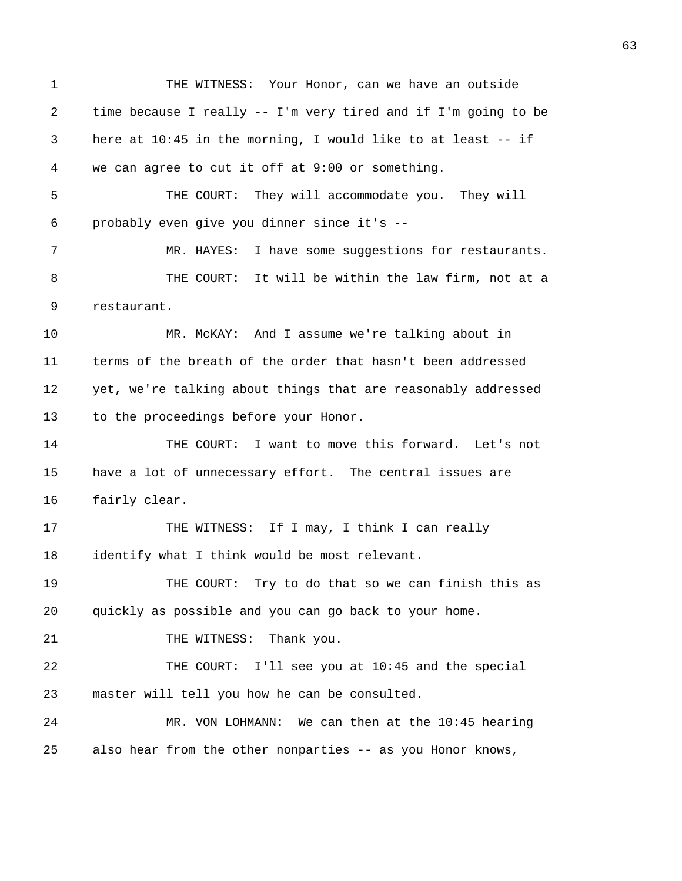1 THE WITNESS: Your Honor, can we have an outside 2 time because I really -- I'm very tired and if I'm going to be 3 here at 10:45 in the morning, I would like to at least -- if 4 we can agree to cut it off at 9:00 or something. 5 THE COURT: They will accommodate you. They will 6 probably even give you dinner since it's -- 7 MR. HAYES: I have some suggestions for restaurants. 8 THE COURT: It will be within the law firm, not at a 9 restaurant. 10 MR. McKAY: And I assume we're talking about in 11 terms of the breath of the order that hasn't been addressed 12 yet, we're talking about things that are reasonably addressed 13 to the proceedings before your Honor. 14 THE COURT: I want to move this forward. Let's not 15 have a lot of unnecessary effort. The central issues are 16 fairly clear. 17 THE WITNESS: If I may, I think I can really 18 identify what I think would be most relevant. 19 THE COURT: Try to do that so we can finish this as 20 quickly as possible and you can go back to your home. 21 THE WITNESS: Thank you. 22 THE COURT: I'll see you at 10:45 and the special 23 master will tell you how he can be consulted. 24 MR. VON LOHMANN: We can then at the 10:45 hearing 25 also hear from the other nonparties -- as you Honor knows,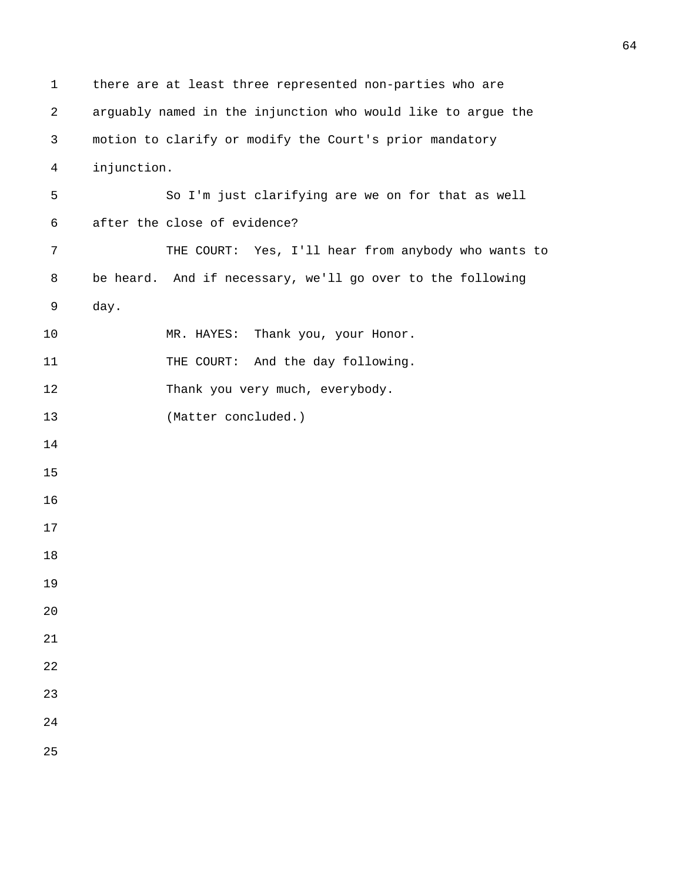```
1 there are at least three represented non-parties who are 
2 arguably named in the injunction who would like to argue the 
3 motion to clarify or modify the Court's prior mandatory 
4 injunction. 
5 So I'm just clarifying are we on for that as well 
6 after the close of evidence? 
7 THE COURT: Yes, I'll hear from anybody who wants to 
8 be heard. And if necessary, we'll go over to the following 
9 day. 
10 MR. HAYES: Thank you, your Honor.
11 THE COURT: And the day following.
12 Thank you very much, everybody.
13 (Matter concluded.) 
14 
15 
16 
17 
18 
19 
20 
21 
22 
23 
24 
25
```